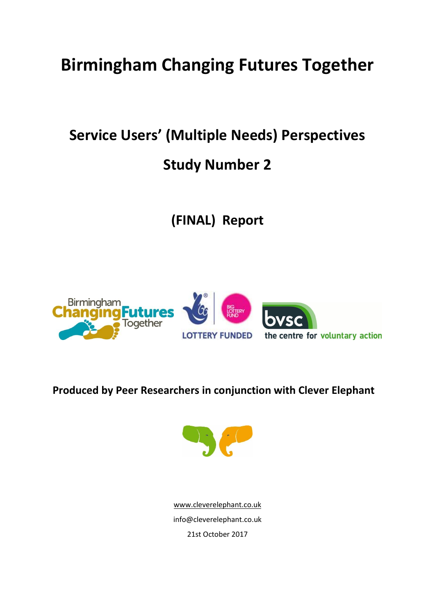# **Birmingham Changing Futures Together**

# **Service Users' (Multiple Needs) Perspectives**

# **Study Number 2**

**(FINAL) Report** 



# **Produced by Peer Researchers in conjunction with Clever Elephant**



[www.cleverelephant.co.uk](http://www.cleverelephant.co.uk/) info@cleverelephant.co.uk 21st October 2017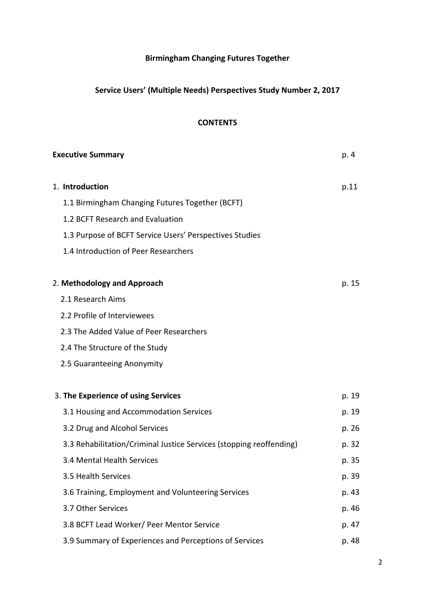## **Birmingham Changing Futures Together**

## **Service Users' (Multiple Needs) Perspectives Study Number 2, 2017**

## **CONTENTS**

| <b>Executive Summary</b>                                            | p. 4  |
|---------------------------------------------------------------------|-------|
| 1. Introduction                                                     | p.11  |
| 1.1 Birmingham Changing Futures Together (BCFT)                     |       |
| 1.2 BCFT Research and Evaluation                                    |       |
| 1.3 Purpose of BCFT Service Users' Perspectives Studies             |       |
| 1.4 Introduction of Peer Researchers                                |       |
| 2. Methodology and Approach                                         | p. 15 |
| 2.1 Research Aims                                                   |       |
| 2.2 Profile of Interviewees                                         |       |
| 2.3 The Added Value of Peer Researchers                             |       |
| 2.4 The Structure of the Study                                      |       |
| 2.5 Guaranteeing Anonymity                                          |       |
| 3. The Experience of using Services                                 | p. 19 |
| 3.1 Housing and Accommodation Services                              | p. 19 |
| 3.2 Drug and Alcohol Services                                       | p. 26 |
| 3.3 Rehabilitation/Criminal Justice Services (stopping reoffending) | p. 32 |
| 3.4 Mental Health Services                                          | p. 35 |
| 3.5 Health Services                                                 | p. 39 |
| 3.6 Training, Employment and Volunteering Services                  | p. 43 |
| 3.7 Other Services                                                  | p. 46 |
| 3.8 BCFT Lead Worker/ Peer Mentor Service                           | p. 47 |
| 3.9 Summary of Experiences and Perceptions of Services              | p. 48 |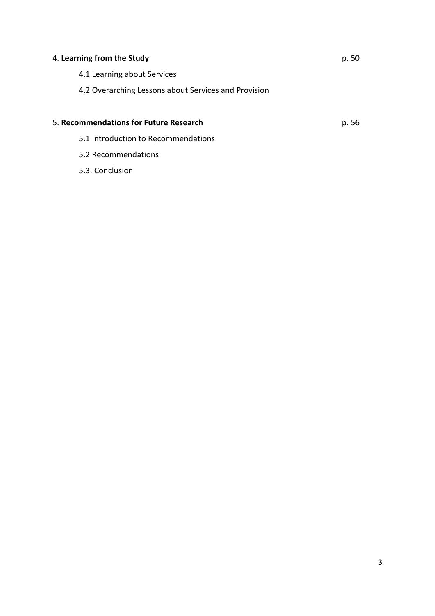# 4. **Learning from the Study** p. 50 4.1 Learning about Services 4.2 Overarching Lessons about Services and Provision 5. **Recommendations for Future Research** p. 56 5.1 Introduction to Recommendations

5.2 Recommendations

5.3. Conclusion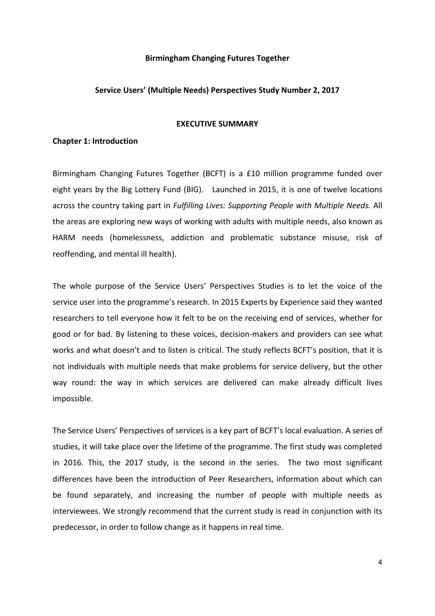#### **Birmingham Changing Futures Together**

#### **Service Users' (Multiple Needs) Perspectives Study Number 2, 2017**

#### **EXECUTIVE SUMMARY**

#### **Chapter 1: Introduction**

Birmingham Changing Futures Together (BCFT) is a £10 million programme funded over eight years by the Big Lottery Fund (BIG). Launched in 2015, it is one of twelve locations across the country taking part in *Fulfilling Lives: Supporting People with Multiple Needs.* All the areas are exploring new ways of working with adults with multiple needs, also known as HARM needs (homelessness, addiction and problematic substance misuse, risk of reoffending, and mental ill health).

The whole purpose of the Service Users' Perspectives Studies is to let the voice of the service user into the programme's research. In 2015 Experts by Experience said they wanted researchers to tell everyone how it felt to be on the receiving end of services, whether for good or for bad. By listening to these voices, decision-makers and providers can see what works and what doesn't and to listen is critical. The study reflects BCFT's position, that it is not individuals with multiple needs that make problems for service delivery, but the other way round: the way in which services are delivered can make already difficult lives impossible.

The Service Users' Perspectives of services is a key part of BCFT's local evaluation. A series of studies, it will take place over the lifetime of the programme. The first study was completed in 2016. This, the 2017 study, is the second in the series. The two most significant differences have been the introduction of Peer Researchers, information about which can be found separately, and increasing the number of people with multiple needs as interviewees. We strongly recommend that the current study is read in conjunction with its predecessor, in order to follow change as it happens in real time.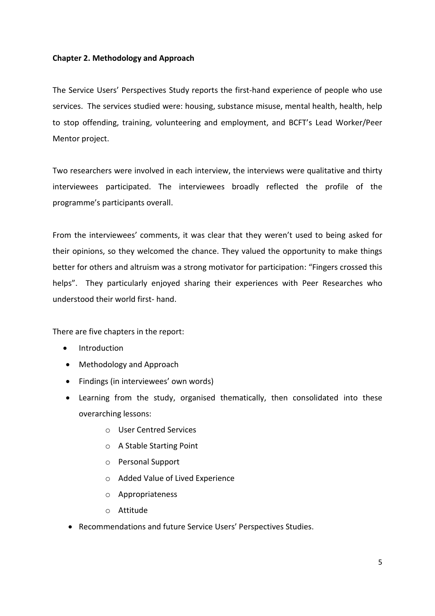## **Chapter 2. Methodology and Approach**

The Service Users' Perspectives Study reports the first-hand experience of people who use services. The services studied were: housing, substance misuse, mental health, health, help to stop offending, training, volunteering and employment, and BCFT's Lead Worker/Peer Mentor project.

Two researchers were involved in each interview, the interviews were qualitative and thirty interviewees participated. The interviewees broadly reflected the profile of the programme's participants overall.

From the interviewees' comments, it was clear that they weren't used to being asked for their opinions, so they welcomed the chance. They valued the opportunity to make things better for others and altruism was a strong motivator for participation: "Fingers crossed this helps". They particularly enjoyed sharing their experiences with Peer Researches who understood their world first- hand.

There are five chapters in the report:

- Introduction
- Methodology and Approach
- Findings (in interviewees' own words)
- Learning from the study, organised thematically, then consolidated into these overarching lessons:
	- o User Centred Services
	- o A Stable Starting Point
	- o Personal Support
	- o Added Value of Lived Experience
	- o Appropriateness
	- o Attitude
- Recommendations and future Service Users' Perspectives Studies.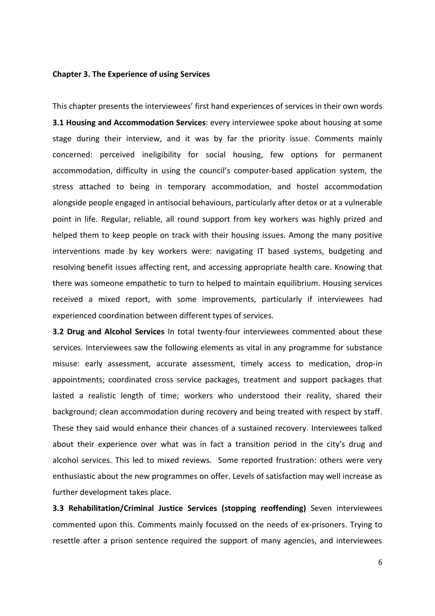#### **Chapter 3. The Experience of using Services**

This chapter presents the interviewees' first hand experiences of services in their own words **3.1 Housing and Accommodation Services**: every interviewee spoke about housing at some stage during their interview, and it was by far the priority issue. Comments mainly concerned: perceived ineligibility for social housing, few options for permanent accommodation, difficulty in using the council's computer-based application system, the stress attached to being in temporary accommodation, and hostel accommodation alongside people engaged in antisocial behaviours, particularly after detox or at a vulnerable point in life. Regular, reliable, all round support from key workers was highly prized and helped them to keep people on track with their housing issues. Among the many positive interventions made by key workers were: navigating IT based systems, budgeting and resolving benefit issues affecting rent, and accessing appropriate health care. Knowing that there was someone empathetic to turn to helped to maintain equilibrium. Housing services received a mixed report, with some improvements, particularly if interviewees had experienced coordination between different types of services.

**3.2 Drug and Alcohol Services** In total twenty-four interviewees commented about these services. Interviewees saw the following elements as vital in any programme for substance misuse: early assessment, accurate assessment, timely access to medication, drop-in appointments; coordinated cross service packages, treatment and support packages that lasted a realistic length of time; workers who understood their reality, shared their background; clean accommodation during recovery and being treated with respect by staff. These they said would enhance their chances of a sustained recovery. Interviewees talked about their experience over what was in fact a transition period in the city's drug and alcohol services. This led to mixed reviews. Some reported frustration: others were very enthusiastic about the new programmes on offer. Levels of satisfaction may well increase as further development takes place.

**3.3 Rehabilitation/Criminal Justice Services (stopping reoffending)** Seven interviewees commented upon this. Comments mainly focussed on the needs of ex-prisoners. Trying to resettle after a prison sentence required the support of many agencies, and interviewees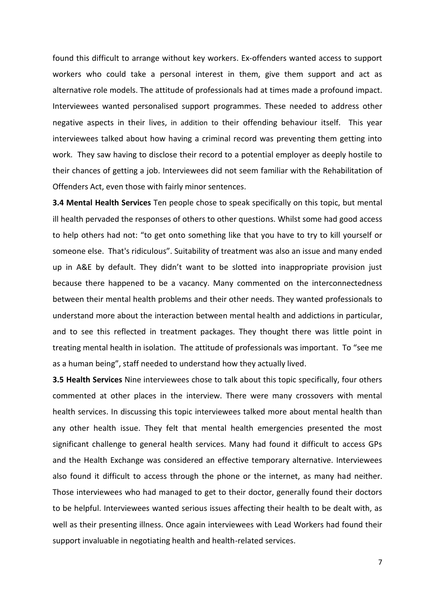found this difficult to arrange without key workers. Ex-offenders wanted access to support workers who could take a personal interest in them, give them support and act as alternative role models. The attitude of professionals had at times made a profound impact. Interviewees wanted personalised support programmes. These needed to address other negative aspects in their lives, in addition to their offending behaviour itself. This year interviewees talked about how having a criminal record was preventing them getting into work. They saw having to disclose their record to a potential employer as deeply hostile to their chances of getting a job. Interviewees did not seem familiar with the Rehabilitation of Offenders Act, even those with fairly minor sentences.

**3.4 Mental Health Services** Ten people chose to speak specifically on this topic, but mental ill health pervaded the responses of others to other questions. Whilst some had good access to help others had not: "to get onto something like that you have to try to kill yourself or someone else. That's ridiculous". Suitability of treatment was also an issue and many ended up in A&E by default. They didn't want to be slotted into inappropriate provision just because there happened to be a vacancy. Many commented on the interconnectedness between their mental health problems and their other needs. They wanted professionals to understand more about the interaction between mental health and addictions in particular, and to see this reflected in treatment packages. They thought there was little point in treating mental health in isolation. The attitude of professionals was important. To "see me as a human being", staff needed to understand how they actually lived.

**3.5 Health Services** Nine interviewees chose to talk about this topic specifically, four others commented at other places in the interview. There were many crossovers with mental health services. In discussing this topic interviewees talked more about mental health than any other health issue. They felt that mental health emergencies presented the most significant challenge to general health services. Many had found it difficult to access GPs and the Health Exchange was considered an effective temporary alternative. Interviewees also found it difficult to access through the phone or the internet, as many had neither. Those interviewees who had managed to get to their doctor, generally found their doctors to be helpful. Interviewees wanted serious issues affecting their health to be dealt with, as well as their presenting illness. Once again interviewees with Lead Workers had found their support invaluable in negotiating health and health-related services.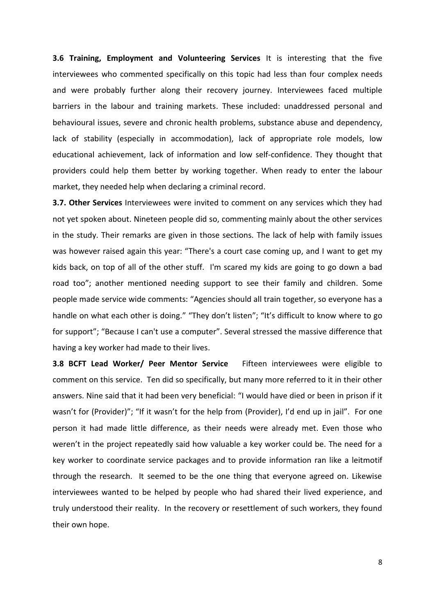**3.6 Training, Employment and Volunteering Services** It is interesting that the five interviewees who commented specifically on this topic had less than four complex needs and were probably further along their recovery journey. Interviewees faced multiple barriers in the labour and training markets. These included: unaddressed personal and behavioural issues, severe and chronic health problems, substance abuse and dependency, lack of stability (especially in accommodation), lack of appropriate role models, low educational achievement, lack of information and low self-confidence. They thought that providers could help them better by working together. When ready to enter the labour market, they needed help when declaring a criminal record.

**3.7. Other Services** Interviewees were invited to comment on any services which they had not yet spoken about. Nineteen people did so, commenting mainly about the other services in the study. Their remarks are given in those sections. The lack of help with family issues was however raised again this year: "There's a court case coming up, and I want to get my kids back, on top of all of the other stuff. I'm scared my kids are going to go down a bad road too"; another mentioned needing support to see their family and children. Some people made service wide comments: "Agencies should all train together, so everyone has a handle on what each other is doing." "They don't listen"; "It's difficult to know where to go for support"; "Because I can't use a computer". Several stressed the massive difference that having a key worker had made to their lives.

**3.8 BCFT Lead Worker/ Peer Mentor Service** Fifteen interviewees were eligible to comment on this service. Ten did so specifically, but many more referred to it in their other answers. Nine said that it had been very beneficial: "I would have died or been in prison if it wasn't for (Provider)"; "If it wasn't for the help from (Provider), I'd end up in jail". For one person it had made little difference, as their needs were already met. Even those who weren't in the project repeatedly said how valuable a key worker could be. The need for a key worker to coordinate service packages and to provide information ran like a leitmotif through the research. It seemed to be the one thing that everyone agreed on. Likewise interviewees wanted to be helped by people who had shared their lived experience, and truly understood their reality. In the recovery or resettlement of such workers, they found their own hope.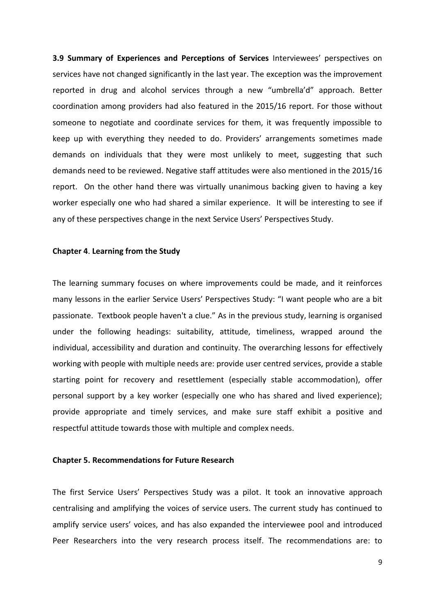**3.9 Summary of Experiences and Perceptions of Services** Interviewees' perspectives on services have not changed significantly in the last year. The exception was the improvement reported in drug and alcohol services through a new "umbrella'd" approach. Better coordination among providers had also featured in the 2015/16 report. For those without someone to negotiate and coordinate services for them, it was frequently impossible to keep up with everything they needed to do. Providers' arrangements sometimes made demands on individuals that they were most unlikely to meet, suggesting that such demands need to be reviewed. Negative staff attitudes were also mentioned in the 2015/16 report. On the other hand there was virtually unanimous backing given to having a key worker especially one who had shared a similar experience. It will be interesting to see if any of these perspectives change in the next Service Users' Perspectives Study.

#### **Chapter 4**. **Learning from the Study**

The learning summary focuses on where improvements could be made, and it reinforces many lessons in the earlier Service Users' Perspectives Study: "I want people who are a bit passionate. Textbook people haven't a clue." As in the previous study, learning is organised under the following headings: suitability, attitude, timeliness, wrapped around the individual, accessibility and duration and continuity. The overarching lessons for effectively working with people with multiple needs are: provide user centred services, provide a stable starting point for recovery and resettlement (especially stable accommodation), offer personal support by a key worker (especially one who has shared and lived experience); provide appropriate and timely services, and make sure staff exhibit a positive and respectful attitude towards those with multiple and complex needs.

#### **Chapter 5. Recommendations for Future Research**

The first Service Users' Perspectives Study was a pilot. It took an innovative approach centralising and amplifying the voices of service users. The current study has continued to amplify service users' voices, and has also expanded the interviewee pool and introduced Peer Researchers into the very research process itself. The recommendations are: to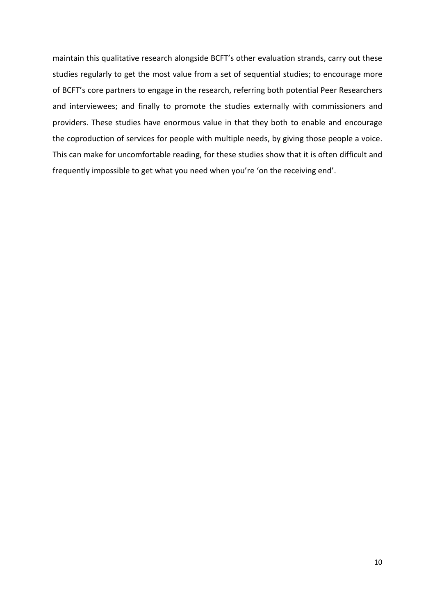maintain this qualitative research alongside BCFT's other evaluation strands, carry out these studies regularly to get the most value from a set of sequential studies; to encourage more of BCFT's core partners to engage in the research, referring both potential Peer Researchers and interviewees; and finally to promote the studies externally with commissioners and providers. These studies have enormous value in that they both to enable and encourage the coproduction of services for people with multiple needs, by giving those people a voice. This can make for uncomfortable reading, for these studies show that it is often difficult and frequently impossible to get what you need when you're 'on the receiving end'.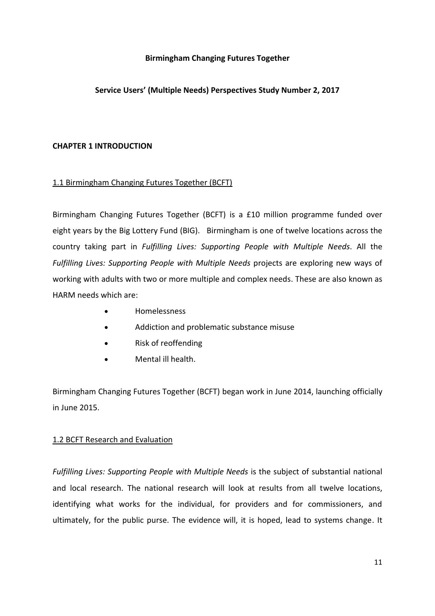## **Birmingham Changing Futures Together**

## **Service Users' (Multiple Needs) Perspectives Study Number 2, 2017**

## **CHAPTER 1 INTRODUCTION**

## 1.1 Birmingham Changing Futures Together (BCFT)

Birmingham Changing Futures Together (BCFT) is a £10 million programme funded over eight years by the Big Lottery Fund (BIG). Birmingham is one of twelve locations across the country taking part in *Fulfilling Lives: Supporting People with Multiple Needs*. All the *Fulfilling Lives: Supporting People with Multiple Needs* projects are exploring new ways of working with adults with two or more multiple and complex needs. These are also known as HARM needs which are:

- Homelessness
- Addiction and problematic substance misuse
- Risk of reoffending
- Mental ill health.

Birmingham Changing Futures Together (BCFT) began work in June 2014, launching officially in June 2015.

## 1.2 BCFT Research and Evaluation

*Fulfilling Lives: Supporting People with Multiple Needs* is the subject of substantial national and local research. The national research will look at results from all twelve locations, identifying what works for the individual, for providers and for commissioners, and ultimately, for the public purse. The evidence will, it is hoped, lead to systems change. It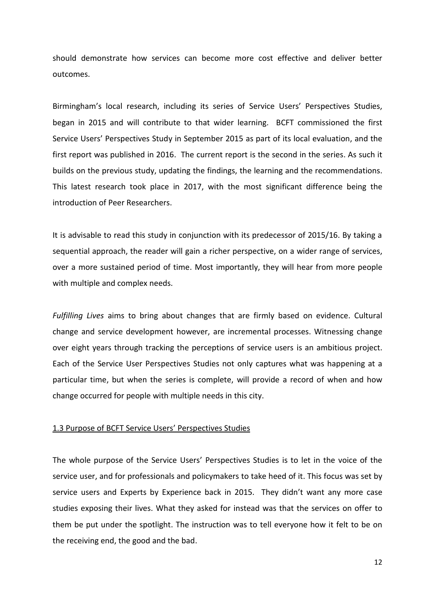should demonstrate how services can become more cost effective and deliver better outcomes.

Birmingham's local research, including its series of Service Users' Perspectives Studies, began in 2015 and will contribute to that wider learning. BCFT commissioned the first Service Users' Perspectives Study in September 2015 as part of its local evaluation, and the first report was published in 2016. The current report is the second in the series. As such it builds on the previous study, updating the findings, the learning and the recommendations. This latest research took place in 2017, with the most significant difference being the introduction of Peer Researchers.

It is advisable to read this study in conjunction with its predecessor of 2015/16. By taking a sequential approach, the reader will gain a richer perspective, on a wider range of services, over a more sustained period of time. Most importantly, they will hear from more people with multiple and complex needs.

*Fulfilling Lives* aims to bring about changes that are firmly based on evidence. Cultural change and service development however, are incremental processes. Witnessing change over eight years through tracking the perceptions of service users is an ambitious project. Each of the Service User Perspectives Studies not only captures what was happening at a particular time, but when the series is complete, will provide a record of when and how change occurred for people with multiple needs in this city.

## 1.3 Purpose of BCFT Service Users' Perspectives Studies

The whole purpose of the Service Users' Perspectives Studies is to let in the voice of the service user, and for professionals and policymakers to take heed of it. This focus was set by service users and Experts by Experience back in 2015. They didn't want any more case studies exposing their lives. What they asked for instead was that the services on offer to them be put under the spotlight. The instruction was to tell everyone how it felt to be on the receiving end, the good and the bad.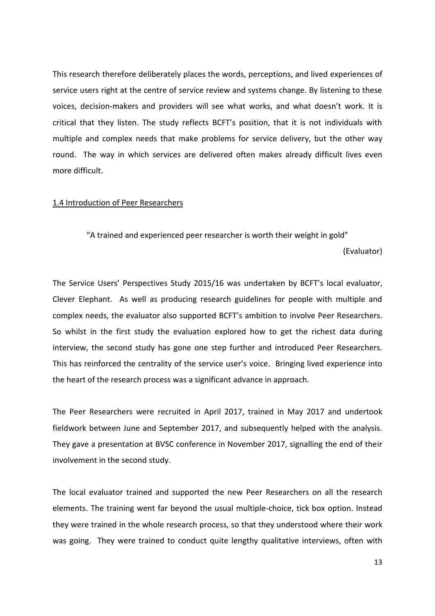This research therefore deliberately places the words, perceptions, and lived experiences of service users right at the centre of service review and systems change. By listening to these voices, decision-makers and providers will see what works, and what doesn't work. It is critical that they listen. The study reflects BCFT's position, that it is not individuals with multiple and complex needs that make problems for service delivery, but the other way round. The way in which services are delivered often makes already difficult lives even more difficult.

#### 1.4 Introduction of Peer Researchers

"A trained and experienced peer researcher is worth their weight in gold"

(Evaluator)

The Service Users' Perspectives Study 2015/16 was undertaken by BCFT's local evaluator, Clever Elephant. As well as producing research guidelines for people with multiple and complex needs, the evaluator also supported BCFT's ambition to involve Peer Researchers. So whilst in the first study the evaluation explored how to get the richest data during interview, the second study has gone one step further and introduced Peer Researchers. This has reinforced the centrality of the service user's voice. Bringing lived experience into the heart of the research process was a significant advance in approach.

The Peer Researchers were recruited in April 2017, trained in May 2017 and undertook fieldwork between June and September 2017, and subsequently helped with the analysis. They gave a presentation at BVSC conference in November 2017, signalling the end of their involvement in the second study.

The local evaluator trained and supported the new Peer Researchers on all the research elements. The training went far beyond the usual multiple-choice, tick box option. Instead they were trained in the whole research process, so that they understood where their work was going. They were trained to conduct quite lengthy qualitative interviews, often with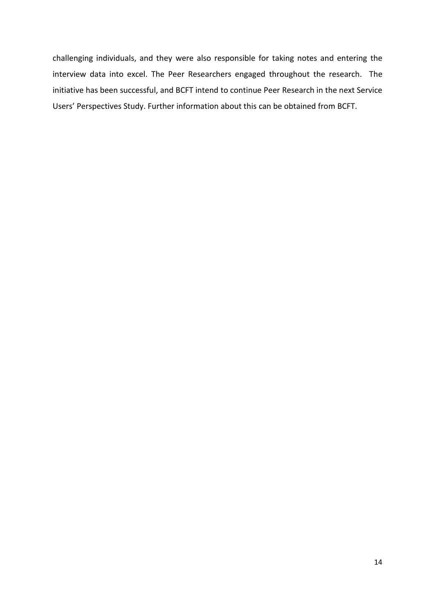challenging individuals, and they were also responsible for taking notes and entering the interview data into excel. The Peer Researchers engaged throughout the research. The initiative has been successful, and BCFT intend to continue Peer Research in the next Service Users' Perspectives Study. Further information about this can be obtained from BCFT.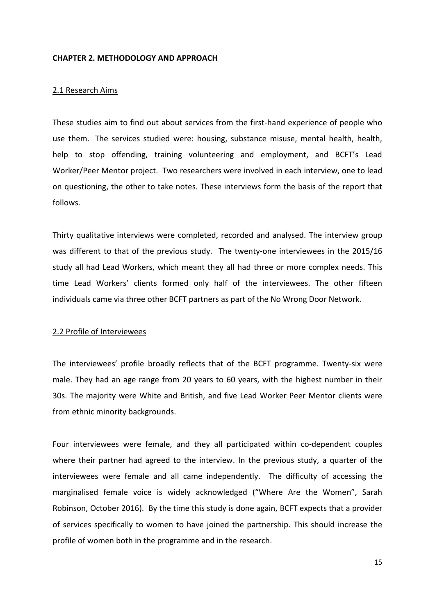#### **CHAPTER 2. METHODOLOGY AND APPROACH**

### 2.1 Research Aims

These studies aim to find out about services from the first-hand experience of people who use them. The services studied were: housing, substance misuse, mental health, health, help to stop offending, training volunteering and employment, and BCFT's Lead Worker/Peer Mentor project. Two researchers were involved in each interview, one to lead on questioning, the other to take notes. These interviews form the basis of the report that follows.

Thirty qualitative interviews were completed, recorded and analysed. The interview group was different to that of the previous study. The twenty-one interviewees in the 2015/16 study all had Lead Workers, which meant they all had three or more complex needs. This time Lead Workers' clients formed only half of the interviewees. The other fifteen individuals came via three other BCFT partners as part of the No Wrong Door Network.

## 2.2 Profile of Interviewees

The interviewees' profile broadly reflects that of the BCFT programme. Twenty-six were male. They had an age range from 20 years to 60 years, with the highest number in their 30s. The majority were White and British, and five Lead Worker Peer Mentor clients were from ethnic minority backgrounds.

Four interviewees were female, and they all participated within co-dependent couples where their partner had agreed to the interview. In the previous study, a quarter of the interviewees were female and all came independently. The difficulty of accessing the marginalised female voice is widely acknowledged ("Where Are the Women", Sarah Robinson, October 2016). By the time this study is done again, BCFT expects that a provider of services specifically to women to have joined the partnership. This should increase the profile of women both in the programme and in the research.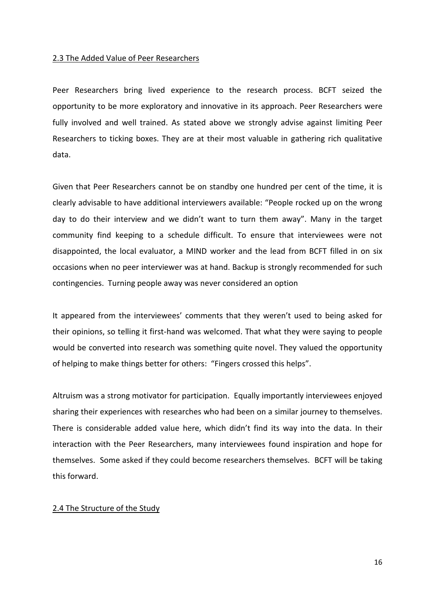#### 2.3 The Added Value of Peer Researchers

Peer Researchers bring lived experience to the research process. BCFT seized the opportunity to be more exploratory and innovative in its approach. Peer Researchers were fully involved and well trained. As stated above we strongly advise against limiting Peer Researchers to ticking boxes. They are at their most valuable in gathering rich qualitative data.

Given that Peer Researchers cannot be on standby one hundred per cent of the time, it is clearly advisable to have additional interviewers available: "People rocked up on the wrong day to do their interview and we didn't want to turn them away". Many in the target community find keeping to a schedule difficult. To ensure that interviewees were not disappointed, the local evaluator, a MIND worker and the lead from BCFT filled in on six occasions when no peer interviewer was at hand. Backup is strongly recommended for such contingencies. Turning people away was never considered an option

It appeared from the interviewees' comments that they weren't used to being asked for their opinions, so telling it first-hand was welcomed. That what they were saying to people would be converted into research was something quite novel. They valued the opportunity of helping to make things better for others: "Fingers crossed this helps".

Altruism was a strong motivator for participation. Equally importantly interviewees enjoyed sharing their experiences with researches who had been on a similar journey to themselves. There is considerable added value here, which didn't find its way into the data. In their interaction with the Peer Researchers, many interviewees found inspiration and hope for themselves. Some asked if they could become researchers themselves. BCFT will be taking this forward.

#### 2.4 The Structure of the Study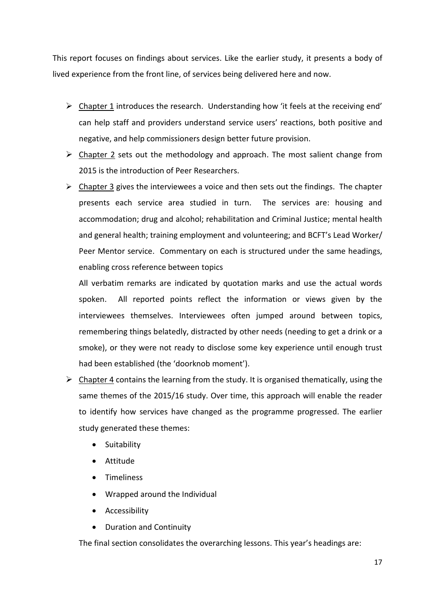This report focuses on findings about services. Like the earlier study, it presents a body of lived experience from the front line, of services being delivered here and now.

- $\triangleright$  Chapter 1 introduces the research. Understanding how 'it feels at the receiving end' can help staff and providers understand service users' reactions, both positive and negative, and help commissioners design better future provision.
- $\triangleright$  Chapter 2 sets out the methodology and approach. The most salient change from 2015 is the introduction of Peer Researchers.
- $\triangleright$  Chapter 3 gives the interviewees a voice and then sets out the findings. The chapter presents each service area studied in turn. The services are: housing and accommodation; drug and alcohol; rehabilitation and Criminal Justice; mental health and general health; training employment and volunteering; and BCFT's Lead Worker/ Peer Mentor service. Commentary on each is structured under the same headings, enabling cross reference between topics

All verbatim remarks are indicated by quotation marks and use the actual words spoken. All reported points reflect the information or views given by the interviewees themselves. Interviewees often jumped around between topics, remembering things belatedly, distracted by other needs (needing to get a drink or a smoke), or they were not ready to disclose some key experience until enough trust had been established (the 'doorknob moment').

- $\triangleright$  Chapter 4 contains the learning from the study. It is organised thematically, using the same themes of the 2015/16 study. Over time, this approach will enable the reader to identify how services have changed as the programme progressed. The earlier study generated these themes:
	- Suitability
	- Attitude
	- Timeliness
	- Wrapped around the Individual
	- Accessibility
	- Duration and Continuity

The final section consolidates the overarching lessons. This year's headings are: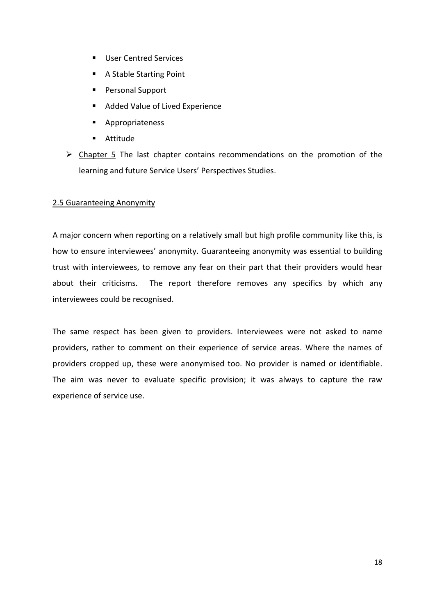- **User Centred Services**
- A Stable Starting Point
- **Personal Support**
- Added Value of Lived Experience
- **Appropriateness**
- Attitude
- $\triangleright$  Chapter 5 The last chapter contains recommendations on the promotion of the learning and future Service Users' Perspectives Studies.

## 2.5 Guaranteeing Anonymity

A major concern when reporting on a relatively small but high profile community like this, is how to ensure interviewees' anonymity. Guaranteeing anonymity was essential to building trust with interviewees, to remove any fear on their part that their providers would hear about their criticisms. The report therefore removes any specifics by which any interviewees could be recognised.

The same respect has been given to providers. Interviewees were not asked to name providers, rather to comment on their experience of service areas. Where the names of providers cropped up, these were anonymised too. No provider is named or identifiable. The aim was never to evaluate specific provision; it was always to capture the raw experience of service use.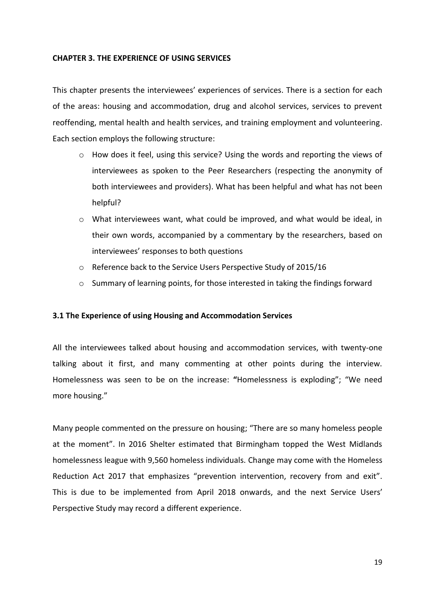## **CHAPTER 3. THE EXPERIENCE OF USING SERVICES**

This chapter presents the interviewees' experiences of services. There is a section for each of the areas: housing and accommodation, drug and alcohol services, services to prevent reoffending, mental health and health services, and training employment and volunteering. Each section employs the following structure:

- o How does it feel, using this service? Using the words and reporting the views of interviewees as spoken to the Peer Researchers (respecting the anonymity of both interviewees and providers). What has been helpful and what has not been helpful?
- $\circ$  What interviewees want, what could be improved, and what would be ideal, in their own words, accompanied by a commentary by the researchers, based on interviewees' responses to both questions
- o Reference back to the Service Users Perspective Study of 2015/16
- o Summary of learning points, for those interested in taking the findings forward

## **3.1 The Experience of using Housing and Accommodation Services**

All the interviewees talked about housing and accommodation services, with twenty-one talking about it first, and many commenting at other points during the interview. Homelessness was seen to be on the increase: **"**Homelessness is exploding"; "We need more housing."

Many people commented on the pressure on housing; "There are so many homeless people at the moment". In 2016 Shelter estimated that Birmingham topped the West Midlands homelessness league with 9,560 homeless individuals. Change may come with the Homeless Reduction Act 2017 that emphasizes "prevention intervention, recovery from and exit". This is due to be implemented from April 2018 onwards, and the next Service Users' Perspective Study may record a different experience.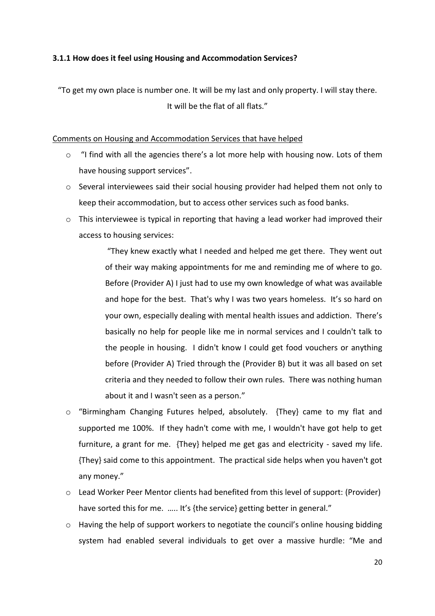## **3.1.1 How does it feel using Housing and Accommodation Services?**

"To get my own place is number one. It will be my last and only property. I will stay there. It will be the flat of all flats."

## Comments on Housing and Accommodation Services that have helped

- o "I find with all the agencies there's a lot more help with housing now. Lots of them have housing support services".
- $\circ$  Several interviewees said their social housing provider had helped them not only to keep their accommodation, but to access other services such as food banks.
- $\circ$  This interviewee is typical in reporting that having a lead worker had improved their access to housing services:

"They knew exactly what I needed and helped me get there. They went out of their way making appointments for me and reminding me of where to go. Before (Provider A) I just had to use my own knowledge of what was available and hope for the best. That's why I was two years homeless. It's so hard on your own, especially dealing with mental health issues and addiction. There's basically no help for people like me in normal services and I couldn't talk to the people in housing. I didn't know I could get food vouchers or anything before (Provider A) Tried through the (Provider B) but it was all based on set criteria and they needed to follow their own rules. There was nothing human about it and I wasn't seen as a person."

- o "Birmingham Changing Futures helped, absolutely. {They} came to my flat and supported me 100%. If they hadn't come with me, I wouldn't have got help to get furniture, a grant for me. {They} helped me get gas and electricity - saved my life. {They} said come to this appointment. The practical side helps when you haven't got any money."
- o Lead Worker Peer Mentor clients had benefited from this level of support: (Provider) have sorted this for me. ..... It's {the service} getting better in general."
- o Having the help of support workers to negotiate the council's online housing bidding system had enabled several individuals to get over a massive hurdle: "Me and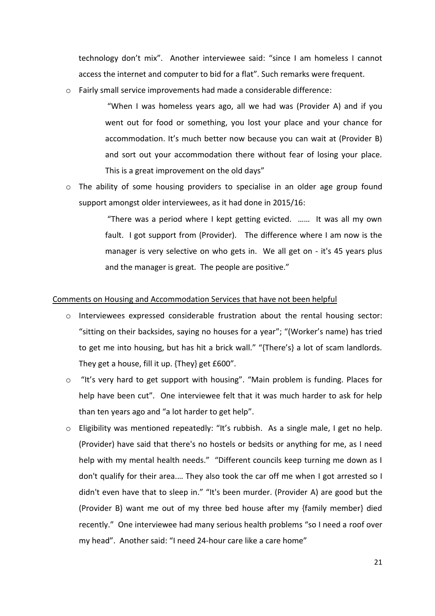technology don't mix". Another interviewee said: "since I am homeless I cannot access the internet and computer to bid for a flat". Such remarks were frequent.

o Fairly small service improvements had made a considerable difference:

"When I was homeless years ago, all we had was (Provider A) and if you went out for food or something, you lost your place and your chance for accommodation. It's much better now because you can wait at (Provider B) and sort out your accommodation there without fear of losing your place. This is a great improvement on the old days"

o The ability of some housing providers to specialise in an older age group found support amongst older interviewees, as it had done in 2015/16:

> "There was a period where I kept getting evicted. …… It was all my own fault. I got support from (Provider). The difference where I am now is the manager is very selective on who gets in. We all get on - it's 45 years plus and the manager is great. The people are positive."

## Comments on Housing and Accommodation Services that have not been helpful

- o Interviewees expressed considerable frustration about the rental housing sector: "sitting on their backsides, saying no houses for a year"; "(Worker's name) has tried to get me into housing, but has hit a brick wall." "{There's} a lot of scam landlords. They get a house, fill it up. {They} get £600".
- o "It's very hard to get support with housing". "Main problem is funding. Places for help have been cut". One interviewee felt that it was much harder to ask for help than ten years ago and "a lot harder to get help".
- o Eligibility was mentioned repeatedly: "It's rubbish. As a single male, I get no help. (Provider) have said that there's no hostels or bedsits or anything for me, as I need help with my mental health needs." "Different councils keep turning me down as I don't qualify for their area.… They also took the car off me when I got arrested so I didn't even have that to sleep in." "It's been murder. (Provider A) are good but the (Provider B) want me out of my three bed house after my {family member} died recently." One interviewee had many serious health problems "so I need a roof over my head". Another said: "I need 24-hour care like a care home"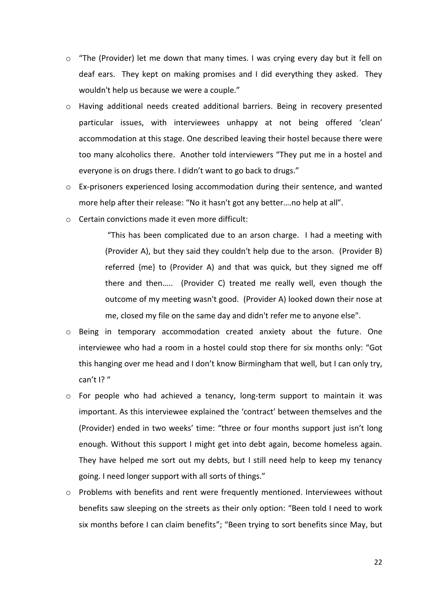- $\circ$  "The (Provider) let me down that many times. I was crying every day but it fell on deaf ears. They kept on making promises and I did everything they asked. They wouldn't help us because we were a couple."
- o Having additional needs created additional barriers. Being in recovery presented particular issues, with interviewees unhappy at not being offered 'clean' accommodation at this stage. One described leaving their hostel because there were too many alcoholics there. Another told interviewers "They put me in a hostel and everyone is on drugs there. I didn't want to go back to drugs."
- $\circ$  Ex-prisoners experienced losing accommodation during their sentence, and wanted more help after their release: "No it hasn't got any better….no help at all".
- o Certain convictions made it even more difficult:

"This has been complicated due to an arson charge. I had a meeting with (Provider A), but they said they couldn't help due to the arson. (Provider B) referred {me} to (Provider A) and that was quick, but they signed me off there and then….. (Provider C) treated me really well, even though the outcome of my meeting wasn't good. (Provider A) looked down their nose at me, closed my file on the same day and didn't refer me to anyone else".

- o Being in temporary accommodation created anxiety about the future. One interviewee who had a room in a hostel could stop there for six months only: "Got this hanging over me head and I don't know Birmingham that well, but I can only try, can't I? "
- o For people who had achieved a tenancy, long-term support to maintain it was important. As this interviewee explained the 'contract' between themselves and the (Provider) ended in two weeks' time: "three or four months support just isn't long enough. Without this support I might get into debt again, become homeless again. They have helped me sort out my debts, but I still need help to keep my tenancy going. I need longer support with all sorts of things."
- $\circ$  Problems with benefits and rent were frequently mentioned. Interviewees without benefits saw sleeping on the streets as their only option: "Been told I need to work six months before I can claim benefits"; "Been trying to sort benefits since May, but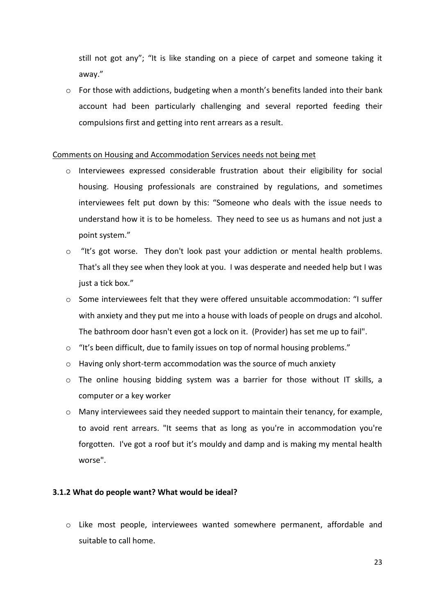still not got any"; "It is like standing on a piece of carpet and someone taking it away."

o For those with addictions, budgeting when a month's benefits landed into their bank account had been particularly challenging and several reported feeding their compulsions first and getting into rent arrears as a result.

## Comments on Housing and Accommodation Services needs not being met

- o Interviewees expressed considerable frustration about their eligibility for social housing. Housing professionals are constrained by regulations, and sometimes interviewees felt put down by this: "Someone who deals with the issue needs to understand how it is to be homeless. They need to see us as humans and not just a point system."
- o "It's got worse. They don't look past your addiction or mental health problems. That's all they see when they look at you. I was desperate and needed help but I was just a tick box."
- o Some interviewees felt that they were offered unsuitable accommodation: "I suffer with anxiety and they put me into a house with loads of people on drugs and alcohol. The bathroom door hasn't even got a lock on it. (Provider) has set me up to fail".
- o "It's been difficult, due to family issues on top of normal housing problems."
- o Having only short-term accommodation was the source of much anxiety
- $\circ$  The online housing bidding system was a barrier for those without IT skills, a computer or a key worker
- o Many interviewees said they needed support to maintain their tenancy, for example, to avoid rent arrears. "It seems that as long as you're in accommodation you're forgotten. I've got a roof but it's mouldy and damp and is making my mental health worse".

## **3.1.2 What do people want? What would be ideal?**

o Like most people, interviewees wanted somewhere permanent, affordable and suitable to call home.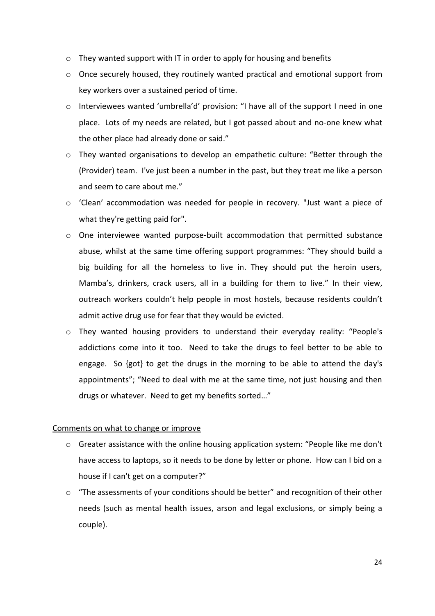- o They wanted support with IT in order to apply for housing and benefits
- o Once securely housed, they routinely wanted practical and emotional support from key workers over a sustained period of time.
- o Interviewees wanted 'umbrella'd' provision: "I have all of the support I need in one place. Lots of my needs are related, but I got passed about and no-one knew what the other place had already done or said."
- o They wanted organisations to develop an empathetic culture: "Better through the (Provider) team. I've just been a number in the past, but they treat me like a person and seem to care about me."
- o 'Clean' accommodation was needed for people in recovery. "Just want a piece of what they're getting paid for".
- o One interviewee wanted purpose-built accommodation that permitted substance abuse, whilst at the same time offering support programmes: "They should build a big building for all the homeless to live in. They should put the heroin users, Mamba's, drinkers, crack users, all in a building for them to live." In their view, outreach workers couldn't help people in most hostels, because residents couldn't admit active drug use for fear that they would be evicted.
- o They wanted housing providers to understand their everyday reality: "People's addictions come into it too. Need to take the drugs to feel better to be able to engage. So {got} to get the drugs in the morning to be able to attend the day's appointments"; "Need to deal with me at the same time, not just housing and then drugs or whatever. Need to get my benefits sorted…"

## Comments on what to change or improve

- $\circ$  Greater assistance with the online housing application system: "People like me don't have access to laptops, so it needs to be done by letter or phone. How can I bid on a house if I can't get on a computer?"
- o "The assessments of your conditions should be better" and recognition of their other needs (such as mental health issues, arson and legal exclusions, or simply being a couple).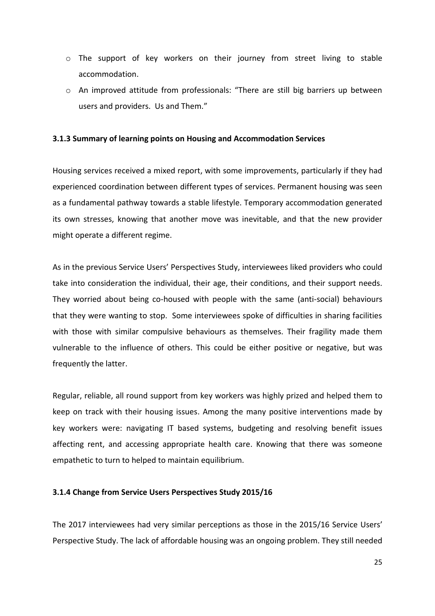- o The support of key workers on their journey from street living to stable accommodation.
- o An improved attitude from professionals: "There are still big barriers up between users and providers. Us and Them."

## **3.1.3 Summary of learning points on Housing and Accommodation Services**

Housing services received a mixed report, with some improvements, particularly if they had experienced coordination between different types of services. Permanent housing was seen as a fundamental pathway towards a stable lifestyle. Temporary accommodation generated its own stresses, knowing that another move was inevitable, and that the new provider might operate a different regime.

As in the previous Service Users' Perspectives Study, interviewees liked providers who could take into consideration the individual, their age, their conditions, and their support needs. They worried about being co-housed with people with the same (anti-social) behaviours that they were wanting to stop. Some interviewees spoke of difficulties in sharing facilities with those with similar compulsive behaviours as themselves. Their fragility made them vulnerable to the influence of others. This could be either positive or negative, but was frequently the latter.

Regular, reliable, all round support from key workers was highly prized and helped them to keep on track with their housing issues. Among the many positive interventions made by key workers were: navigating IT based systems, budgeting and resolving benefit issues affecting rent, and accessing appropriate health care. Knowing that there was someone empathetic to turn to helped to maintain equilibrium.

#### **3.1.4 Change from Service Users Perspectives Study 2015/16**

The 2017 interviewees had very similar perceptions as those in the 2015/16 Service Users' Perspective Study. The lack of affordable housing was an ongoing problem. They still needed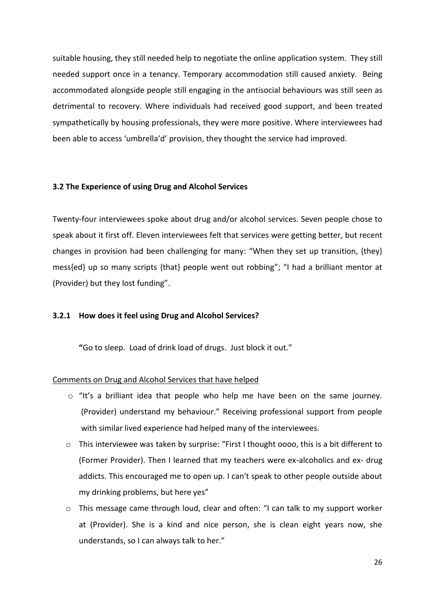suitable housing, they still needed help to negotiate the online application system. They still needed support once in a tenancy. Temporary accommodation still caused anxiety. Being accommodated alongside people still engaging in the antisocial behaviours was still seen as detrimental to recovery. Where individuals had received good support, and been treated sympathetically by housing professionals, they were more positive. Where interviewees had been able to access 'umbrella'd' provision, they thought the service had improved.

#### **3.2 The Experience of using Drug and Alcohol Services**

Twenty-four interviewees spoke about drug and/or alcohol services. Seven people chose to speak about it first off. Eleven interviewees felt that services were getting better, but recent changes in provision had been challenging for many: "When they set up transition, {they} mess{ed} up so many scripts {that} people went out robbing"; "I had a brilliant mentor at (Provider) but they lost funding".

## **3.2.1 How does it feel using Drug and Alcohol Services?**

**"**Go to sleep. Load of drink load of drugs. Just block it out."

#### Comments on Drug and Alcohol Services that have helped

- o "It's a brilliant idea that people who help me have been on the same journey. (Provider) understand my behaviour." Receiving professional support from people with similar lived experience had helped many of the interviewees.
- $\circ$  This interviewee was taken by surprise: "First I thought 0000, this is a bit different to (Former Provider). Then I learned that my teachers were ex-alcoholics and ex- drug addicts. This encouraged me to open up. I can't speak to other people outside about my drinking problems, but here yes"
- o This message came through loud, clear and often: "I can talk to my support worker at (Provider). She is a kind and nice person, she is clean eight years now, she understands, so I can always talk to her."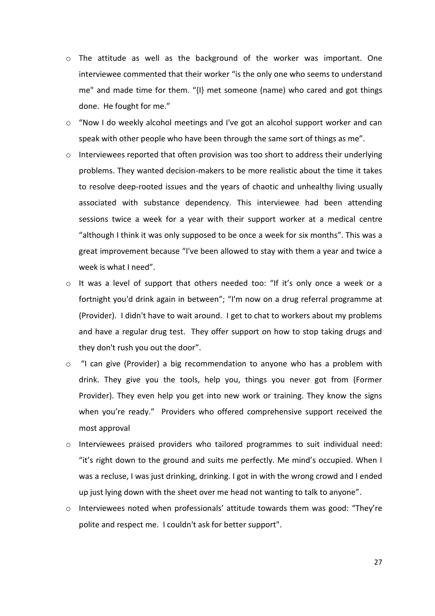- o The attitude as well as the background of the worker was important. One interviewee commented that their worker "is the only one who seems to understand me" and made time for them. "{I} met someone (name) who cared and got things done. He fought for me."
- $\circ$  "Now I do weekly alcohol meetings and I've got an alcohol support worker and can speak with other people who have been through the same sort of things as me".
- o Interviewees reported that often provision was too short to address their underlying problems. They wanted decision-makers to be more realistic about the time it takes to resolve deep-rooted issues and the years of chaotic and unhealthy living usually associated with substance dependency. This interviewee had been attending sessions twice a week for a year with their support worker at a medical centre "although I think it was only supposed to be once a week for six months". This was a great improvement because "I've been allowed to stay with them a year and twice a week is what I need".
- o It was a level of support that others needed too: "If it's only once a week or a fortnight you'd drink again in between"; "I'm now on a drug referral programme at (Provider). I didn't have to wait around. I get to chat to workers about my problems and have a regular drug test. They offer support on how to stop taking drugs and they don't rush you out the door".
- o "I can give (Provider) a big recommendation to anyone who has a problem with drink. They give you the tools, help you, things you never got from (Former Provider). They even help you get into new work or training. They know the signs when you're ready." Providers who offered comprehensive support received the most approval
- $\circ$  Interviewees praised providers who tailored programmes to suit individual need: "it's right down to the ground and suits me perfectly. Me mind's occupied. When I was a recluse, I was just drinking, drinking. I got in with the wrong crowd and I ended up just lying down with the sheet over me head not wanting to talk to anyone".
- $\circ$  Interviewees noted when professionals' attitude towards them was good: "They're polite and respect me. I couldn't ask for better support".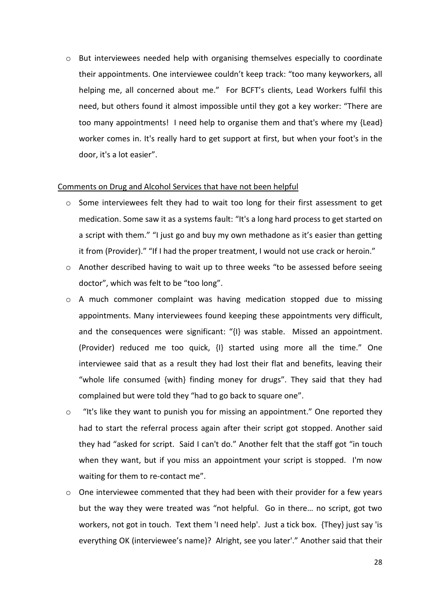o But interviewees needed help with organising themselves especially to coordinate their appointments. One interviewee couldn't keep track: "too many keyworkers, all helping me, all concerned about me." For BCFT's clients, Lead Workers fulfil this need, but others found it almost impossible until they got a key worker: "There are too many appointments! I need help to organise them and that's where my {Lead} worker comes in. It's really hard to get support at first, but when your foot's in the door, it's a lot easier".

#### Comments on Drug and Alcohol Services that have not been helpful

- $\circ$  Some interviewees felt they had to wait too long for their first assessment to get medication. Some saw it as a systems fault: "It's a long hard process to get started on a script with them." "I just go and buy my own methadone as it's easier than getting it from (Provider)." "If I had the proper treatment, I would not use crack or heroin."
- $\circ$  Another described having to wait up to three weeks "to be assessed before seeing doctor", which was felt to be "too long".
- o A much commoner complaint was having medication stopped due to missing appointments. Many interviewees found keeping these appointments very difficult, and the consequences were significant: "{I} was stable. Missed an appointment. (Provider) reduced me too quick, {I} started using more all the time." One interviewee said that as a result they had lost their flat and benefits, leaving their "whole life consumed {with} finding money for drugs". They said that they had complained but were told they "had to go back to square one".
- o "It's like they want to punish you for missing an appointment." One reported they had to start the referral process again after their script got stopped. Another said they had "asked for script. Said I can't do." Another felt that the staff got "in touch when they want, but if you miss an appointment your script is stopped. I'm now waiting for them to re-contact me".
- $\circ$  One interviewee commented that they had been with their provider for a few years but the way they were treated was "not helpful. Go in there… no script, got two workers, not got in touch. Text them 'I need help'. Just a tick box. {They} just say 'is everything OK (interviewee's name)? Alright, see you later'." Another said that their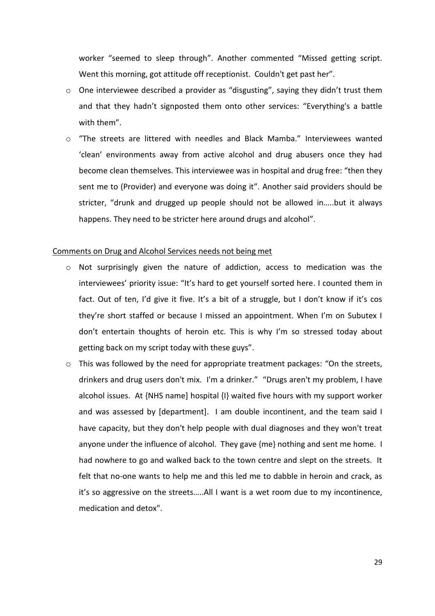worker "seemed to sleep through". Another commented "Missed getting script. Went this morning, got attitude off receptionist. Couldn't get past her".

- o One interviewee described a provider as "disgusting", saying they didn't trust them and that they hadn't signposted them onto other services: "Everything's a battle with them".
- o "The streets are littered with needles and Black Mamba." Interviewees wanted 'clean' environments away from active alcohol and drug abusers once they had become clean themselves. This interviewee was in hospital and drug free: "then they sent me to (Provider) and everyone was doing it". Another said providers should be stricter, "drunk and drugged up people should not be allowed in…..but it always happens. They need to be stricter here around drugs and alcohol".

#### Comments on Drug and Alcohol Services needs not being met

- $\circ$  Not surprisingly given the nature of addiction, access to medication was the interviewees' priority issue: "It's hard to get yourself sorted here. I counted them in fact. Out of ten, I'd give it five. It's a bit of a struggle, but I don't know if it's cos they're short staffed or because I missed an appointment. When I'm on Subutex I don't entertain thoughts of heroin etc. This is why I'm so stressed today about getting back on my script today with these guys".
- o This was followed by the need for appropriate treatment packages: "On the streets, drinkers and drug users don't mix. I'm a drinker." "Drugs aren't my problem, I have alcohol issues. At {NHS name] hospital {I} waited five hours with my support worker and was assessed by [department]. I am double incontinent, and the team said I have capacity, but they don't help people with dual diagnoses and they won't treat anyone under the influence of alcohol. They gave {me} nothing and sent me home. I had nowhere to go and walked back to the town centre and slept on the streets. It felt that no-one wants to help me and this led me to dabble in heroin and crack, as it's so aggressive on the streets…..All I want is a wet room due to my incontinence, medication and detox".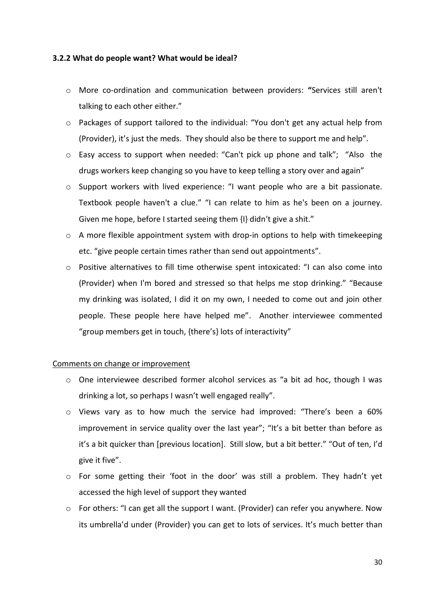## **3.2.2 What do people want? What would be ideal?**

- o More co-ordination and communication between providers: **"**Services still aren't talking to each other either."
- o Packages of support tailored to the individual: "You don't get any actual help from (Provider), it's just the meds. They should also be there to support me and help".
- o Easy access to support when needed: "Can't pick up phone and talk"; "Also the drugs workers keep changing so you have to keep telling a story over and again"
- o Support workers with lived experience: "I want people who are a bit passionate. Textbook people haven't a clue." "I can relate to him as he's been on a journey. Given me hope, before I started seeing them {I} didn't give a shit."
- o A more flexible appointment system with drop-in options to help with timekeeping etc. "give people certain times rather than send out appointments".
- o Positive alternatives to fill time otherwise spent intoxicated: "I can also come into (Provider) when I'm bored and stressed so that helps me stop drinking." "Because my drinking was isolated, I did it on my own, I needed to come out and join other people. These people here have helped me". Another interviewee commented "group members get in touch, {there's} lots of interactivity"

## Comments on change or improvement

- o One interviewee described former alcohol services as "a bit ad hoc, though I was drinking a lot, so perhaps I wasn't well engaged really".
- o Views vary as to how much the service had improved: "There's been a 60% improvement in service quality over the last year"; "It's a bit better than before as it's a bit quicker than [previous location]. Still slow, but a bit better." "Out of ten, I'd give it five".
- o For some getting their 'foot in the door' was still a problem. They hadn't yet accessed the high level of support they wanted
- $\circ$  For others: "I can get all the support I want. (Provider) can refer you anywhere. Now its umbrella'd under (Provider) you can get to lots of services. It's much better than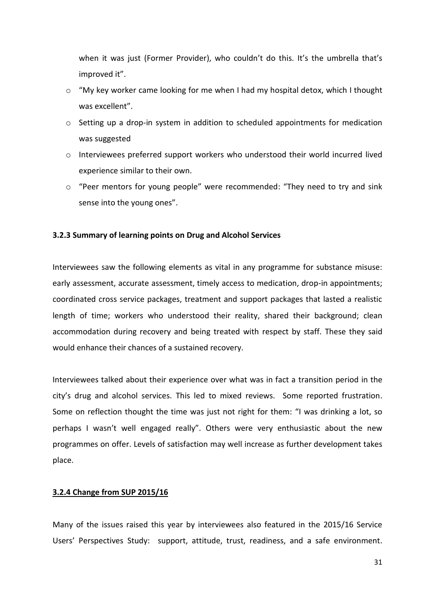when it was just (Former Provider), who couldn't do this. It's the umbrella that's improved it".

- o "My key worker came looking for me when I had my hospital detox, which I thought was excellent".
- $\circ$  Setting up a drop-in system in addition to scheduled appointments for medication was suggested
- o Interviewees preferred support workers who understood their world incurred lived experience similar to their own.
- o "Peer mentors for young people" were recommended: "They need to try and sink sense into the young ones".

## **3.2.3 Summary of learning points on Drug and Alcohol Services**

Interviewees saw the following elements as vital in any programme for substance misuse: early assessment, accurate assessment, timely access to medication, drop-in appointments; coordinated cross service packages, treatment and support packages that lasted a realistic length of time; workers who understood their reality, shared their background; clean accommodation during recovery and being treated with respect by staff. These they said would enhance their chances of a sustained recovery.

Interviewees talked about their experience over what was in fact a transition period in the city's drug and alcohol services. This led to mixed reviews. Some reported frustration. Some on reflection thought the time was just not right for them: "I was drinking a lot, so perhaps I wasn't well engaged really". Others were very enthusiastic about the new programmes on offer. Levels of satisfaction may well increase as further development takes place.

## **3.2.4 Change from SUP 2015/16**

Many of the issues raised this year by interviewees also featured in the 2015/16 Service Users' Perspectives Study: support, attitude, trust, readiness, and a safe environment.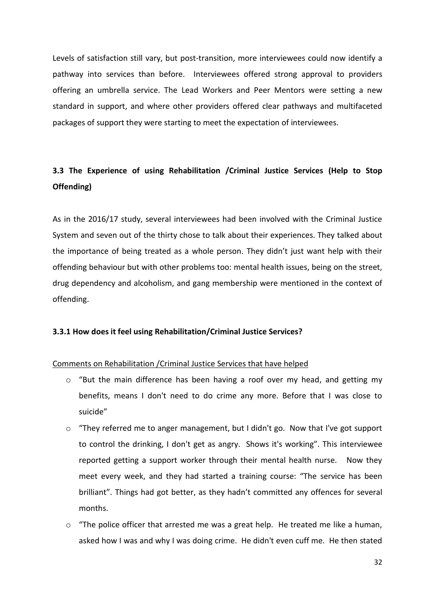Levels of satisfaction still vary, but post-transition, more interviewees could now identify a pathway into services than before. Interviewees offered strong approval to providers offering an umbrella service. The Lead Workers and Peer Mentors were setting a new standard in support, and where other providers offered clear pathways and multifaceted packages of support they were starting to meet the expectation of interviewees.

## **3.3 The Experience of using Rehabilitation /Criminal Justice Services (Help to Stop Offending)**

As in the 2016/17 study, several interviewees had been involved with the Criminal Justice System and seven out of the thirty chose to talk about their experiences. They talked about the importance of being treated as a whole person. They didn't just want help with their offending behaviour but with other problems too: mental health issues, being on the street, drug dependency and alcoholism, and gang membership were mentioned in the context of offending.

## **3.3.1 How does it feel using Rehabilitation/Criminal Justice Services?**

## Comments on Rehabilitation /Criminal Justice Services that have helped

- $\circ$  "But the main difference has been having a roof over my head, and getting my benefits, means I don't need to do crime any more. Before that I was close to suicide"
- o "They referred me to anger management, but I didn't go. Now that I've got support to control the drinking, I don't get as angry. Shows it's working". This interviewee reported getting a support worker through their mental health nurse. Now they meet every week, and they had started a training course: "The service has been brilliant". Things had got better, as they hadn't committed any offences for several months.
- $\circ$  "The police officer that arrested me was a great help. He treated me like a human, asked how I was and why I was doing crime. He didn't even cuff me. He then stated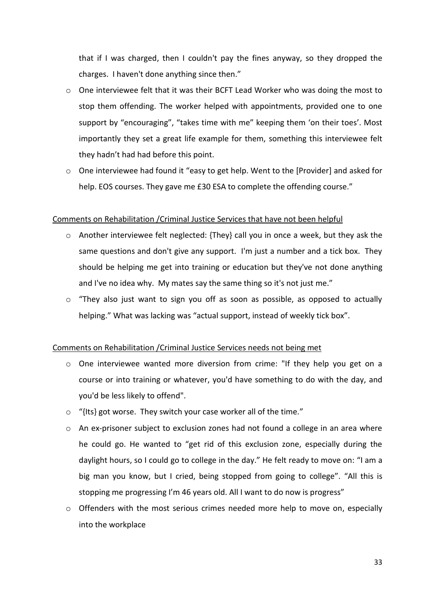that if I was charged, then I couldn't pay the fines anyway, so they dropped the charges. I haven't done anything since then."

- o One interviewee felt that it was their BCFT Lead Worker who was doing the most to stop them offending. The worker helped with appointments, provided one to one support by "encouraging", "takes time with me" keeping them 'on their toes'. Most importantly they set a great life example for them, something this interviewee felt they hadn't had had before this point.
- $\circ$  One interviewee had found it "easy to get help. Went to the [Provider] and asked for help. EOS courses. They gave me £30 ESA to complete the offending course."

## Comments on Rehabilitation /Criminal Justice Services that have not been helpful

- o Another interviewee felt neglected: {They} call you in once a week, but they ask the same questions and don't give any support. I'm just a number and a tick box. They should be helping me get into training or education but they've not done anything and I've no idea why. My mates say the same thing so it's not just me."
- o "They also just want to sign you off as soon as possible, as opposed to actually helping." What was lacking was "actual support, instead of weekly tick box".

## Comments on Rehabilitation /Criminal Justice Services needs not being met

- o One interviewee wanted more diversion from crime: "If they help you get on a course or into training or whatever, you'd have something to do with the day, and you'd be less likely to offend".
- o "{Its} got worse. They switch your case worker all of the time."
- o An ex-prisoner subject to exclusion zones had not found a college in an area where he could go. He wanted to "get rid of this exclusion zone, especially during the daylight hours, so I could go to college in the day." He felt ready to move on: "I am a big man you know, but I cried, being stopped from going to college". "All this is stopping me progressing I'm 46 years old. All I want to do now is progress"
- $\circ$  Offenders with the most serious crimes needed more help to move on, especially into the workplace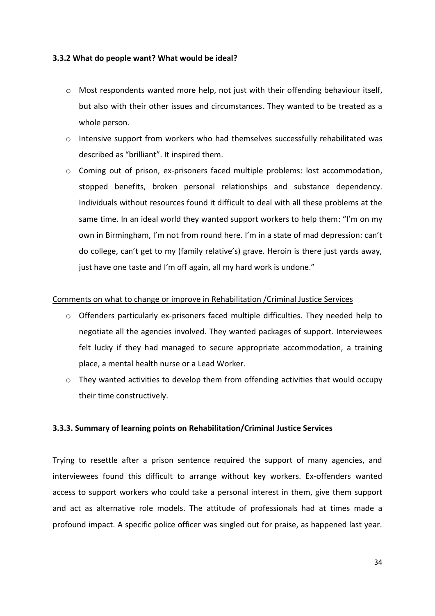## **3.3.2 What do people want? What would be ideal?**

- o Most respondents wanted more help, not just with their offending behaviour itself, but also with their other issues and circumstances. They wanted to be treated as a whole person.
- o Intensive support from workers who had themselves successfully rehabilitated was described as "brilliant". It inspired them.
- $\circ$  Coming out of prison, ex-prisoners faced multiple problems: lost accommodation, stopped benefits, broken personal relationships and substance dependency. Individuals without resources found it difficult to deal with all these problems at the same time. In an ideal world they wanted support workers to help them: "I'm on my own in Birmingham, I'm not from round here. I'm in a state of mad depression: can't do college, can't get to my (family relative's) grave. Heroin is there just yards away, just have one taste and I'm off again, all my hard work is undone."

## Comments on what to change or improve in Rehabilitation /Criminal Justice Services

- $\circ$  Offenders particularly ex-prisoners faced multiple difficulties. They needed help to negotiate all the agencies involved. They wanted packages of support. Interviewees felt lucky if they had managed to secure appropriate accommodation, a training place, a mental health nurse or a Lead Worker.
- $\circ$  They wanted activities to develop them from offending activities that would occupy their time constructively.

## **3.3.3. Summary of learning points on Rehabilitation/Criminal Justice Services**

Trying to resettle after a prison sentence required the support of many agencies, and interviewees found this difficult to arrange without key workers. Ex-offenders wanted access to support workers who could take a personal interest in them, give them support and act as alternative role models. The attitude of professionals had at times made a profound impact. A specific police officer was singled out for praise, as happened last year.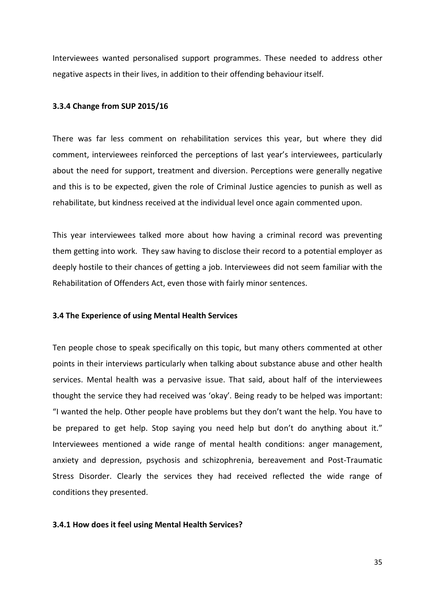Interviewees wanted personalised support programmes. These needed to address other negative aspects in their lives, in addition to their offending behaviour itself.

#### **3.3.4 Change from SUP 2015/16**

There was far less comment on rehabilitation services this year, but where they did comment, interviewees reinforced the perceptions of last year's interviewees, particularly about the need for support, treatment and diversion. Perceptions were generally negative and this is to be expected, given the role of Criminal Justice agencies to punish as well as rehabilitate, but kindness received at the individual level once again commented upon.

This year interviewees talked more about how having a criminal record was preventing them getting into work. They saw having to disclose their record to a potential employer as deeply hostile to their chances of getting a job. Interviewees did not seem familiar with the Rehabilitation of Offenders Act, even those with fairly minor sentences.

## **3.4 The Experience of using Mental Health Services**

Ten people chose to speak specifically on this topic, but many others commented at other points in their interviews particularly when talking about substance abuse and other health services. Mental health was a pervasive issue. That said, about half of the interviewees thought the service they had received was 'okay'. Being ready to be helped was important: "I wanted the help. Other people have problems but they don't want the help. You have to be prepared to get help. Stop saying you need help but don't do anything about it." Interviewees mentioned a wide range of mental health conditions: anger management, anxiety and depression, psychosis and schizophrenia, bereavement and Post-Traumatic Stress Disorder. Clearly the services they had received reflected the wide range of conditions they presented.

#### **3.4.1 How does it feel using Mental Health Services?**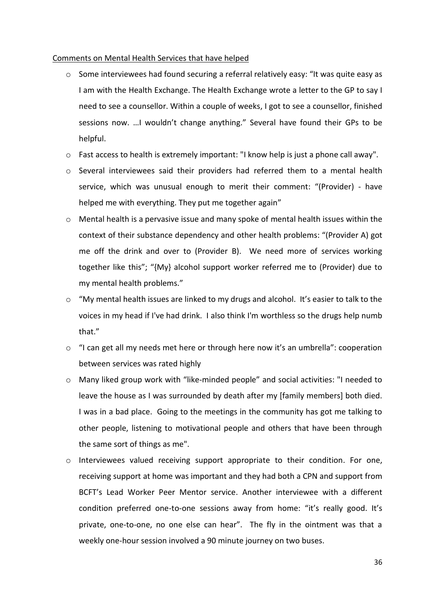#### Comments on Mental Health Services that have helped

- o Some interviewees had found securing a referral relatively easy: "It was quite easy as I am with the Health Exchange. The Health Exchange wrote a letter to the GP to say I need to see a counsellor. Within a couple of weeks, I got to see a counsellor, finished sessions now. …I wouldn't change anything." Several have found their GPs to be helpful.
- o Fast access to health is extremely important: "I know help is just a phone call away".
- $\circ$  Several interviewees said their providers had referred them to a mental health service, which was unusual enough to merit their comment: "(Provider) - have helped me with everything. They put me together again"
- $\circ$  Mental health is a pervasive issue and many spoke of mental health issues within the context of their substance dependency and other health problems: "(Provider A) got me off the drink and over to (Provider B). We need more of services working together like this"; "{My} alcohol support worker referred me to (Provider) due to my mental health problems."
- o "My mental health issues are linked to my drugs and alcohol. It's easier to talk to the voices in my head if I've had drink. I also think I'm worthless so the drugs help numb that."
- o "I can get all my needs met here or through here now it's an umbrella": cooperation between services was rated highly
- o Many liked group work with "like-minded people" and social activities: "I needed to leave the house as I was surrounded by death after my [family members] both died. I was in a bad place. Going to the meetings in the community has got me talking to other people, listening to motivational people and others that have been through the same sort of things as me".
- o Interviewees valued receiving support appropriate to their condition. For one, receiving support at home was important and they had both a CPN and support from BCFT's Lead Worker Peer Mentor service. Another interviewee with a different condition preferred one-to-one sessions away from home: "it's really good. It's private, one-to-one, no one else can hear". The fly in the ointment was that a weekly one-hour session involved a 90 minute journey on two buses.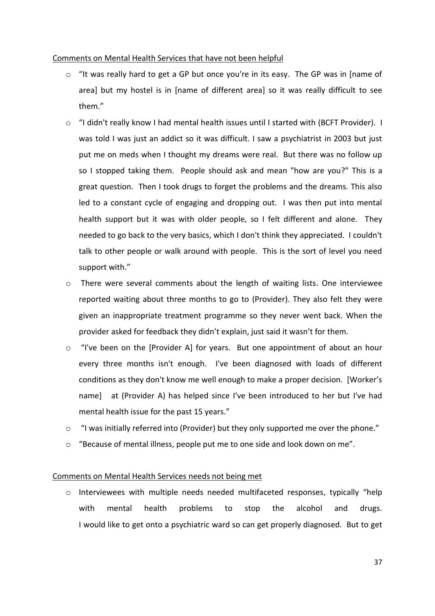## Comments on Mental Health Services that have not been helpful

- o "It was really hard to get a GP but once you're in its easy. The GP was in [name of area] but my hostel is in [name of different area] so it was really difficult to see them."
- $\circ$  "I didn't really know I had mental health issues until I started with (BCFT Provider). I was told I was just an addict so it was difficult. I saw a psychiatrist in 2003 but just put me on meds when I thought my dreams were real. But there was no follow up so I stopped taking them. People should ask and mean "how are you?" This is a great question. Then I took drugs to forget the problems and the dreams. This also led to a constant cycle of engaging and dropping out. I was then put into mental health support but it was with older people, so I felt different and alone. They needed to go back to the very basics, which I don't think they appreciated. I couldn't talk to other people or walk around with people. This is the sort of level you need support with."
- o There were several comments about the length of waiting lists. One interviewee reported waiting about three months to go to (Provider). They also felt they were given an inappropriate treatment programme so they never went back. When the provider asked for feedback they didn't explain, just said it wasn't for them.
- o "I've been on the [Provider A] for years. But one appointment of about an hour every three months isn't enough. I've been diagnosed with loads of different conditions as they don't know me well enough to make a proper decision. [Worker's name] at (Provider A) has helped since I've been introduced to her but I've had mental health issue for the past 15 years."
- o "I was initially referred into (Provider) but they only supported me over the phone."
- $\circ$  "Because of mental illness, people put me to one side and look down on me".

## Comments on Mental Health Services needs not being met

o Interviewees with multiple needs needed multifaceted responses, typically "help with mental health problems to stop the alcohol and drugs. I would like to get onto a psychiatric ward so can get properly diagnosed. But to get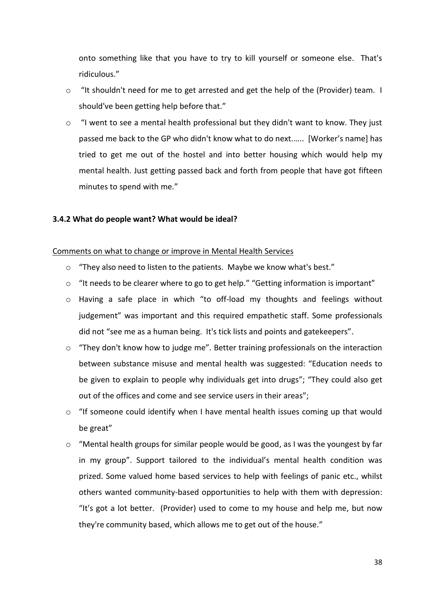onto something like that you have to try to kill yourself or someone else. That's ridiculous."

- o "It shouldn't need for me to get arrested and get the help of the (Provider) team. I should've been getting help before that."
- $\circ$  "I went to see a mental health professional but they didn't want to know. They just passed me back to the GP who didn't know what to do next.….. [Worker's name] has tried to get me out of the hostel and into better housing which would help my mental health. Just getting passed back and forth from people that have got fifteen minutes to spend with me."

#### **3.4.2 What do people want? What would be ideal?**

#### Comments on what to change or improve in Mental Health Services

- o "They also need to listen to the patients. Maybe we know what's best."
- o "It needs to be clearer where to go to get help." "Getting information is important"
- o Having a safe place in which "to off-load my thoughts and feelings without judgement" was important and this required empathetic staff. Some professionals did not "see me as a human being. It's tick lists and points and gatekeepers".
- o "They don't know how to judge me". Better training professionals on the interaction between substance misuse and mental health was suggested: "Education needs to be given to explain to people why individuals get into drugs"; "They could also get out of the offices and come and see service users in their areas";
- o "If someone could identify when I have mental health issues coming up that would be great"
- $\circ$  "Mental health groups for similar people would be good, as I was the youngest by far in my group". Support tailored to the individual's mental health condition was prized. Some valued home based services to help with feelings of panic etc., whilst others wanted community-based opportunities to help with them with depression: "It's got a lot better. (Provider) used to come to my house and help me, but now they're community based, which allows me to get out of the house."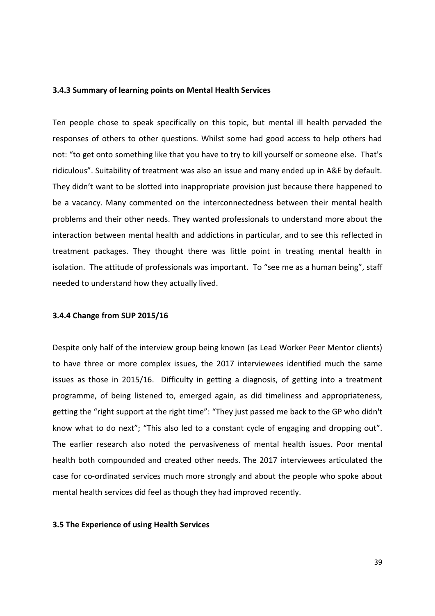#### **3.4.3 Summary of learning points on Mental Health Services**

Ten people chose to speak specifically on this topic, but mental ill health pervaded the responses of others to other questions. Whilst some had good access to help others had not: "to get onto something like that you have to try to kill yourself or someone else. That's ridiculous". Suitability of treatment was also an issue and many ended up in A&E by default. They didn't want to be slotted into inappropriate provision just because there happened to be a vacancy. Many commented on the interconnectedness between their mental health problems and their other needs. They wanted professionals to understand more about the interaction between mental health and addictions in particular, and to see this reflected in treatment packages. They thought there was little point in treating mental health in isolation. The attitude of professionals was important. To "see me as a human being", staff needed to understand how they actually lived.

## **3.4.4 Change from SUP 2015/16**

Despite only half of the interview group being known (as Lead Worker Peer Mentor clients) to have three or more complex issues, the 2017 interviewees identified much the same issues as those in 2015/16. Difficulty in getting a diagnosis, of getting into a treatment programme, of being listened to, emerged again, as did timeliness and appropriateness, getting the "right support at the right time": "They just passed me back to the GP who didn't know what to do next"; "This also led to a constant cycle of engaging and dropping out". The earlier research also noted the pervasiveness of mental health issues. Poor mental health both compounded and created other needs. The 2017 interviewees articulated the case for co-ordinated services much more strongly and about the people who spoke about mental health services did feel as though they had improved recently.

## **3.5 The Experience of using Health Services**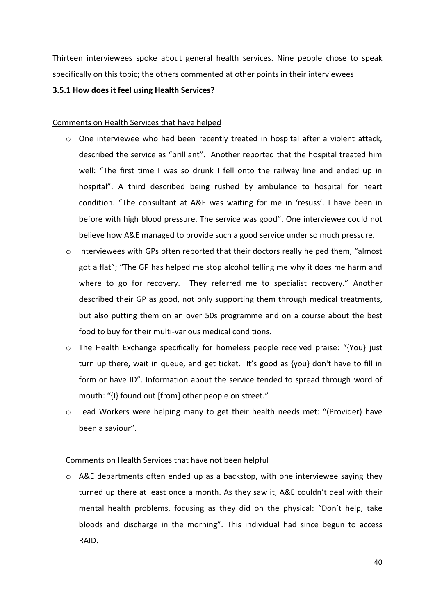Thirteen interviewees spoke about general health services. Nine people chose to speak specifically on this topic; the others commented at other points in their interviewees

## **3.5.1 How does it feel using Health Services?**

## Comments on Health Services that have helped

- o One interviewee who had been recently treated in hospital after a violent attack, described the service as "brilliant". Another reported that the hospital treated him well: "The first time I was so drunk I fell onto the railway line and ended up in hospital". A third described being rushed by ambulance to hospital for heart condition. "The consultant at A&E was waiting for me in 'resuss'. I have been in before with high blood pressure. The service was good". One interviewee could not believe how A&E managed to provide such a good service under so much pressure.
- o Interviewees with GPs often reported that their doctors really helped them, "almost got a flat"; "The GP has helped me stop alcohol telling me why it does me harm and where to go for recovery. They referred me to specialist recovery." Another described their GP as good, not only supporting them through medical treatments, but also putting them on an over 50s programme and on a course about the best food to buy for their multi-various medical conditions.
- o The Health Exchange specifically for homeless people received praise: "{You} just turn up there, wait in queue, and get ticket. It's good as {you} don't have to fill in form or have ID". Information about the service tended to spread through word of mouth: "{I} found out [from] other people on street."
- o Lead Workers were helping many to get their health needs met: "(Provider) have been a saviour".

## Comments on Health Services that have not been helpful

o A&E departments often ended up as a backstop, with one interviewee saying they turned up there at least once a month. As they saw it, A&E couldn't deal with their mental health problems, focusing as they did on the physical: "Don't help, take bloods and discharge in the morning". This individual had since begun to access RAID.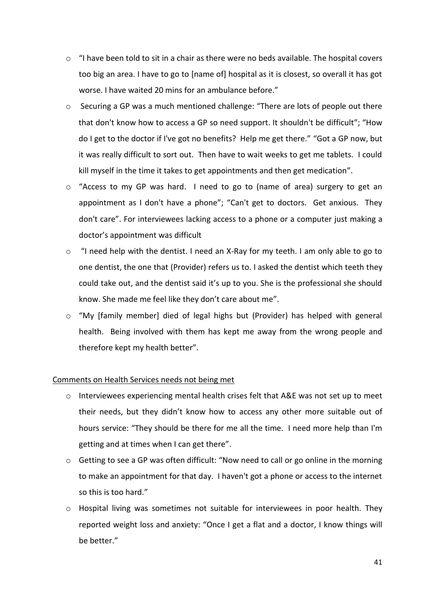- $\circ$  "I have been told to sit in a chair as there were no beds available. The hospital covers too big an area. I have to go to [name of] hospital as it is closest, so overall it has got worse. I have waited 20 mins for an ambulance before."
- o Securing a GP was a much mentioned challenge: "There are lots of people out there that don't know how to access a GP so need support. It shouldn't be difficult"; "How do I get to the doctor if I've got no benefits? Help me get there." "Got a GP now, but it was really difficult to sort out. Then have to wait weeks to get me tablets. I could kill myself in the time it takes to get appointments and then get medication".
- $\circ$  "Access to my GP was hard. I need to go to (name of area) surgery to get an appointment as I don't have a phone"; "Can't get to doctors. Get anxious. They don't care". For interviewees lacking access to a phone or a computer just making a doctor's appointment was difficult
- o "I need help with the dentist. I need an X-Ray for my teeth. I am only able to go to one dentist, the one that (Provider) refers us to. I asked the dentist which teeth they could take out, and the dentist said it's up to you. She is the professional she should know. She made me feel like they don't care about me".
- o "My [family member] died of legal highs but (Provider) has helped with general health. Being involved with them has kept me away from the wrong people and therefore kept my health better".

## Comments on Health Services needs not being met

- o Interviewees experiencing mental health crises felt that A&E was not set up to meet their needs, but they didn't know how to access any other more suitable out of hours service: "They should be there for me all the time. I need more help than I'm getting and at times when I can get there".
- o Getting to see a GP was often difficult: "Now need to call or go online in the morning to make an appointment for that day. I haven't got a phone or access to the internet so this is too hard."
- $\circ$  Hospital living was sometimes not suitable for interviewees in poor health. They reported weight loss and anxiety: "Once I get a flat and a doctor, I know things will be better."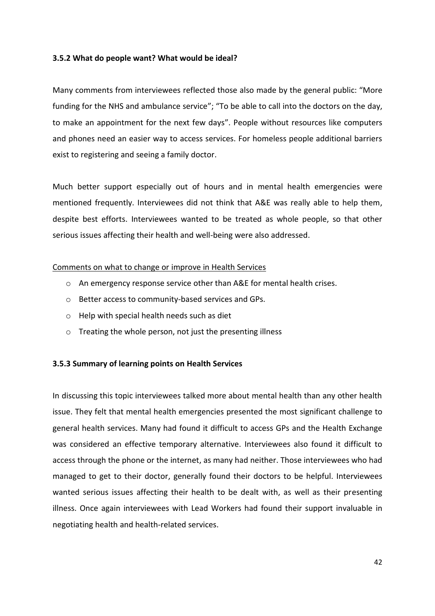## **3.5.2 What do people want? What would be ideal?**

Many comments from interviewees reflected those also made by the general public: "More funding for the NHS and ambulance service"; "To be able to call into the doctors on the day, to make an appointment for the next few days". People without resources like computers and phones need an easier way to access services. For homeless people additional barriers exist to registering and seeing a family doctor.

Much better support especially out of hours and in mental health emergencies were mentioned frequently. Interviewees did not think that A&E was really able to help them, despite best efforts. Interviewees wanted to be treated as whole people, so that other serious issues affecting their health and well-being were also addressed.

## Comments on what to change or improve in Health Services

- o An emergency response service other than A&E for mental health crises.
- o Better access to community-based services and GPs.
- o Help with special health needs such as diet
- o Treating the whole person, not just the presenting illness

## **3.5.3 Summary of learning points on Health Services**

In discussing this topic interviewees talked more about mental health than any other health issue. They felt that mental health emergencies presented the most significant challenge to general health services. Many had found it difficult to access GPs and the Health Exchange was considered an effective temporary alternative. Interviewees also found it difficult to access through the phone or the internet, as many had neither. Those interviewees who had managed to get to their doctor, generally found their doctors to be helpful. Interviewees wanted serious issues affecting their health to be dealt with, as well as their presenting illness. Once again interviewees with Lead Workers had found their support invaluable in negotiating health and health-related services.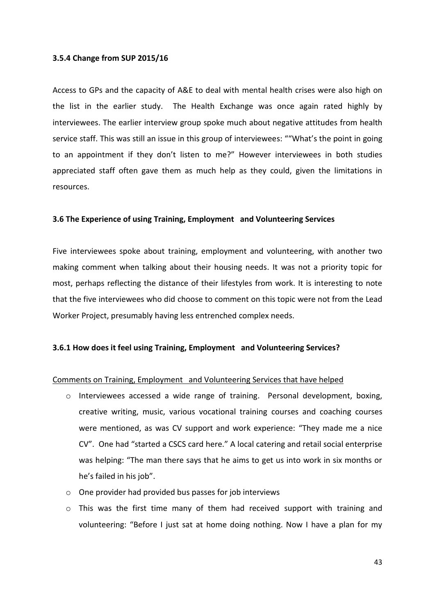## **3.5.4 Change from SUP 2015/16**

Access to GPs and the capacity of A&E to deal with mental health crises were also high on the list in the earlier study. The Health Exchange was once again rated highly by interviewees. The earlier interview group spoke much about negative attitudes from health service staff. This was still an issue in this group of interviewees: ""What's the point in going to an appointment if they don't listen to me?" However interviewees in both studies appreciated staff often gave them as much help as they could, given the limitations in resources.

## **3.6 The Experience of using Training, Employment and Volunteering Services**

Five interviewees spoke about training, employment and volunteering, with another two making comment when talking about their housing needs. It was not a priority topic for most, perhaps reflecting the distance of their lifestyles from work. It is interesting to note that the five interviewees who did choose to comment on this topic were not from the Lead Worker Project, presumably having less entrenched complex needs.

## **3.6.1 How does it feel using Training, Employment and Volunteering Services?**

## Comments on Training, Employment and Volunteering Services that have helped

- o Interviewees accessed a wide range of training. Personal development, boxing, creative writing, music, various vocational training courses and coaching courses were mentioned, as was CV support and work experience: "They made me a nice CV". One had "started a CSCS card here." A local catering and retail social enterprise was helping: "The man there says that he aims to get us into work in six months or he's failed in his job".
- o One provider had provided bus passes for job interviews
- $\circ$  This was the first time many of them had received support with training and volunteering: "Before I just sat at home doing nothing. Now I have a plan for my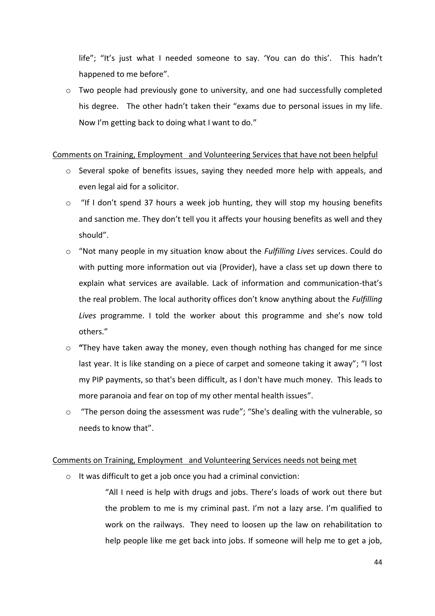life"; "It's just what I needed someone to say. 'You can do this'. This hadn't happened to me before".

o Two people had previously gone to university, and one had successfully completed his degree. The other hadn't taken their "exams due to personal issues in my life. Now I'm getting back to doing what I want to do."

## Comments on Training, Employment and Volunteering Services that have not been helpful

- $\circ$  Several spoke of benefits issues, saying they needed more help with appeals, and even legal aid for a solicitor.
- $\circ$  "If I don't spend 37 hours a week job hunting, they will stop my housing benefits and sanction me. They don't tell you it affects your housing benefits as well and they should".
- o "Not many people in my situation know about the *Fulfilling Lives* services. Could do with putting more information out via (Provider), have a class set up down there to explain what services are available. Lack of information and communication-that's the real problem. The local authority offices don't know anything about the *Fulfilling Lives* programme. I told the worker about this programme and she's now told others."
- o **"**They have taken away the money, even though nothing has changed for me since last year. It is like standing on a piece of carpet and someone taking it away"; "I lost my PIP payments, so that's been difficult, as I don't have much money. This leads to more paranoia and fear on top of my other mental health issues".
- o "The person doing the assessment was rude"; "She's dealing with the vulnerable, so needs to know that".

## Comments on Training, Employment and Volunteering Services needs not being met

o It was difficult to get a job once you had a criminal conviction:

"All I need is help with drugs and jobs. There's loads of work out there but the problem to me is my criminal past. I'm not a lazy arse. I'm qualified to work on the railways. They need to loosen up the law on rehabilitation to help people like me get back into jobs. If someone will help me to get a job,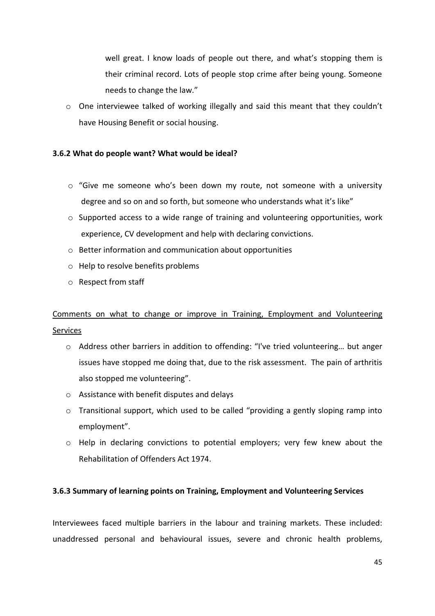well great. I know loads of people out there, and what's stopping them is their criminal record. Lots of people stop crime after being young. Someone needs to change the law."

 $\circ$  One interviewee talked of working illegally and said this meant that they couldn't have Housing Benefit or social housing.

## **3.6.2 What do people want? What would be ideal?**

- $\circ$  "Give me someone who's been down my route, not someone with a university degree and so on and so forth, but someone who understands what it's like"
- $\circ$  Supported access to a wide range of training and volunteering opportunities, work experience, CV development and help with declaring convictions.
- o Better information and communication about opportunities
- o Help to resolve benefits problems
- o Respect from staff

## Comments on what to change or improve in Training, Employment and Volunteering Services

- o Address other barriers in addition to offending: "I've tried volunteering… but anger issues have stopped me doing that, due to the risk assessment. The pain of arthritis also stopped me volunteering".
- o Assistance with benefit disputes and delays
- o Transitional support, which used to be called "providing a gently sloping ramp into employment".
- $\circ$  Help in declaring convictions to potential employers; very few knew about the Rehabilitation of Offenders Act 1974.

## **3.6.3 Summary of learning points on Training, Employment and Volunteering Services**

Interviewees faced multiple barriers in the labour and training markets. These included: unaddressed personal and behavioural issues, severe and chronic health problems,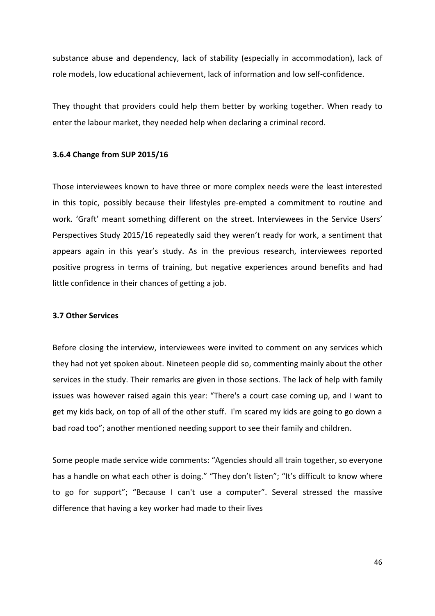substance abuse and dependency, lack of stability (especially in accommodation), lack of role models, low educational achievement, lack of information and low self-confidence.

They thought that providers could help them better by working together. When ready to enter the labour market, they needed help when declaring a criminal record.

#### **3.6.4 Change from SUP 2015/16**

Those interviewees known to have three or more complex needs were the least interested in this topic, possibly because their lifestyles pre-empted a commitment to routine and work. 'Graft' meant something different on the street. Interviewees in the Service Users' Perspectives Study 2015/16 repeatedly said they weren't ready for work, a sentiment that appears again in this year's study. As in the previous research, interviewees reported positive progress in terms of training, but negative experiences around benefits and had little confidence in their chances of getting a job.

## **3.7 Other Services**

Before closing the interview, interviewees were invited to comment on any services which they had not yet spoken about. Nineteen people did so, commenting mainly about the other services in the study. Their remarks are given in those sections. The lack of help with family issues was however raised again this year: "There's a court case coming up, and I want to get my kids back, on top of all of the other stuff. I'm scared my kids are going to go down a bad road too"; another mentioned needing support to see their family and children.

Some people made service wide comments: "Agencies should all train together, so everyone has a handle on what each other is doing." "They don't listen"; "It's difficult to know where to go for support"; "Because I can't use a computer". Several stressed the massive difference that having a key worker had made to their lives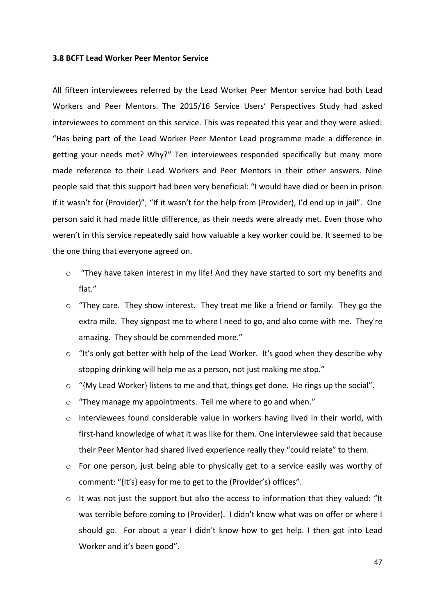#### **3.8 BCFT Lead Worker Peer Mentor Service**

All fifteen interviewees referred by the Lead Worker Peer Mentor service had both Lead Workers and Peer Mentors. The 2015/16 Service Users' Perspectives Study had asked interviewees to comment on this service. This was repeated this year and they were asked: "Has being part of the Lead Worker Peer Mentor Lead programme made a difference in getting your needs met? Why?" Ten interviewees responded specifically but many more made reference to their Lead Workers and Peer Mentors in their other answers. Nine people said that this support had been very beneficial: "I would have died or been in prison if it wasn't for (Provider)"; "If it wasn't for the help from (Provider), I'd end up in jail". One person said it had made little difference, as their needs were already met. Even those who weren't in this service repeatedly said how valuable a key worker could be. It seemed to be the one thing that everyone agreed on.

- $\circ$  "They have taken interest in my life! And they have started to sort my benefits and flat."
- $\circ$  "They care. They show interest. They treat me like a friend or family. They go the extra mile. They signpost me to where I need to go, and also come with me. They're amazing. They should be commended more."
- o "It's only got better with help of the Lead Worker. It's good when they describe why stopping drinking will help me as a person, not just making me stop."
- $\circ$  "{My Lead Worker} listens to me and that, things get done. He rings up the social".
- o "They manage my appointments. Tell me where to go and when."
- $\circ$  Interviewees found considerable value in workers having lived in their world, with first-hand knowledge of what it was like for them. One interviewee said that because their Peer Mentor had shared lived experience really they "could relate" to them.
- $\circ$  For one person, just being able to physically get to a service easily was worthy of comment: "{It's} easy for me to get to the (Provider's) offices".
- $\circ$  It was not just the support but also the access to information that they valued: "It was terrible before coming to (Provider). I didn't know what was on offer or where I should go. For about a year I didn't know how to get help. I then got into Lead Worker and it's been good".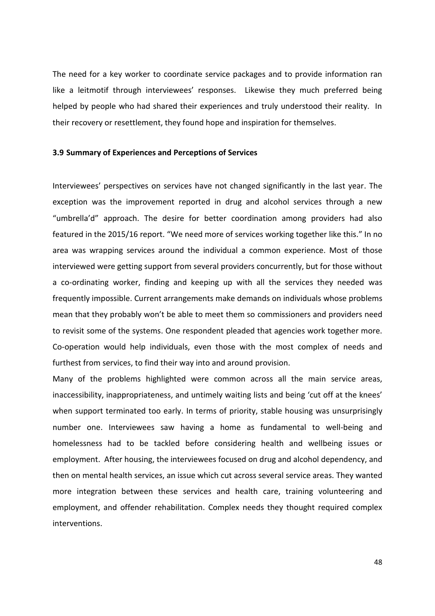The need for a key worker to coordinate service packages and to provide information ran like a leitmotif through interviewees' responses. Likewise they much preferred being helped by people who had shared their experiences and truly understood their reality. In their recovery or resettlement, they found hope and inspiration for themselves.

#### **3.9 Summary of Experiences and Perceptions of Services**

Interviewees' perspectives on services have not changed significantly in the last year. The exception was the improvement reported in drug and alcohol services through a new "umbrella'd" approach. The desire for better coordination among providers had also featured in the 2015/16 report. "We need more of services working together like this." In no area was wrapping services around the individual a common experience. Most of those interviewed were getting support from several providers concurrently, but for those without a co-ordinating worker, finding and keeping up with all the services they needed was frequently impossible. Current arrangements make demands on individuals whose problems mean that they probably won't be able to meet them so commissioners and providers need to revisit some of the systems. One respondent pleaded that agencies work together more. Co-operation would help individuals, even those with the most complex of needs and furthest from services, to find their way into and around provision.

Many of the problems highlighted were common across all the main service areas, inaccessibility, inappropriateness, and untimely waiting lists and being 'cut off at the knees' when support terminated too early. In terms of priority, stable housing was unsurprisingly number one. Interviewees saw having a home as fundamental to well-being and homelessness had to be tackled before considering health and wellbeing issues or employment. After housing, the interviewees focused on drug and alcohol dependency, and then on mental health services, an issue which cut across several service areas. They wanted more integration between these services and health care, training volunteering and employment, and offender rehabilitation. Complex needs they thought required complex interventions.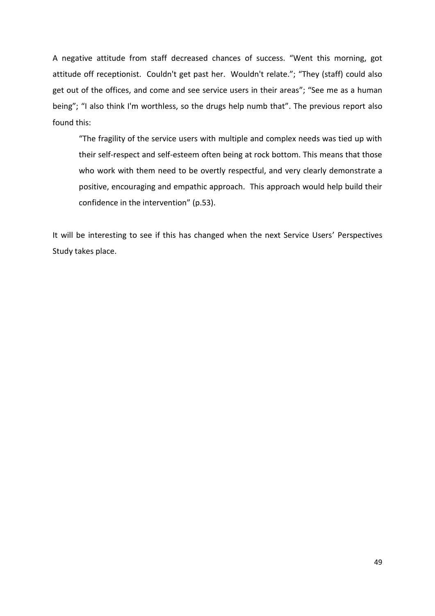A negative attitude from staff decreased chances of success. "Went this morning, got attitude off receptionist. Couldn't get past her. Wouldn't relate."; "They (staff) could also get out of the offices, and come and see service users in their areas"; "See me as a human being"; "I also think I'm worthless, so the drugs help numb that". The previous report also found this:

"The fragility of the service users with multiple and complex needs was tied up with their self-respect and self-esteem often being at rock bottom. This means that those who work with them need to be overtly respectful, and very clearly demonstrate a positive, encouraging and empathic approach. This approach would help build their confidence in the intervention" (p.53).

It will be interesting to see if this has changed when the next Service Users' Perspectives Study takes place.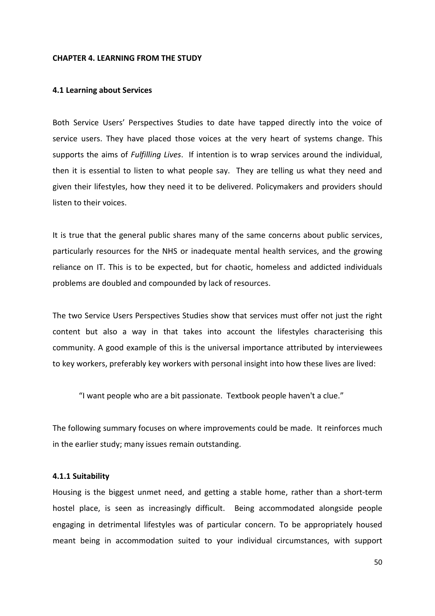#### **CHAPTER 4. LEARNING FROM THE STUDY**

#### **4.1 Learning about Services**

Both Service Users' Perspectives Studies to date have tapped directly into the voice of service users. They have placed those voices at the very heart of systems change. This supports the aims of *Fulfilling Lives*. If intention is to wrap services around the individual, then it is essential to listen to what people say. They are telling us what they need and given their lifestyles, how they need it to be delivered. Policymakers and providers should listen to their voices.

It is true that the general public shares many of the same concerns about public services, particularly resources for the NHS or inadequate mental health services, and the growing reliance on IT. This is to be expected, but for chaotic, homeless and addicted individuals problems are doubled and compounded by lack of resources.

The two Service Users Perspectives Studies show that services must offer not just the right content but also a way in that takes into account the lifestyles characterising this community. A good example of this is the universal importance attributed by interviewees to key workers, preferably key workers with personal insight into how these lives are lived:

"I want people who are a bit passionate. Textbook people haven't a clue."

The following summary focuses on where improvements could be made. It reinforces much in the earlier study; many issues remain outstanding.

#### **4.1.1 Suitability**

Housing is the biggest unmet need, and getting a stable home, rather than a short-term hostel place, is seen as increasingly difficult. Being accommodated alongside people engaging in detrimental lifestyles was of particular concern. To be appropriately housed meant being in accommodation suited to your individual circumstances, with support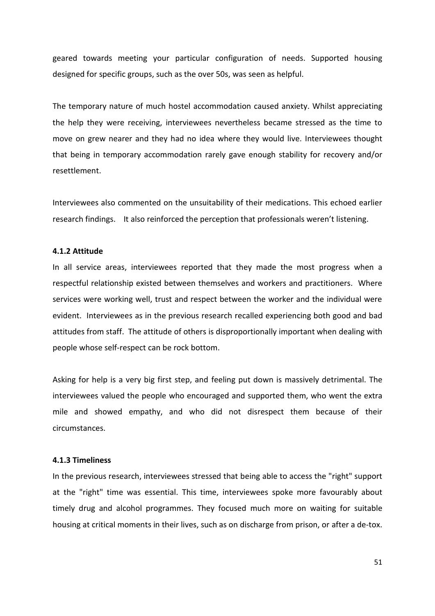geared towards meeting your particular configuration of needs. Supported housing designed for specific groups, such as the over 50s, was seen as helpful.

The temporary nature of much hostel accommodation caused anxiety. Whilst appreciating the help they were receiving, interviewees nevertheless became stressed as the time to move on grew nearer and they had no idea where they would live. Interviewees thought that being in temporary accommodation rarely gave enough stability for recovery and/or resettlement.

Interviewees also commented on the unsuitability of their medications. This echoed earlier research findings. It also reinforced the perception that professionals weren't listening.

## **4.1.2 Attitude**

In all service areas, interviewees reported that they made the most progress when a respectful relationship existed between themselves and workers and practitioners. Where services were working well, trust and respect between the worker and the individual were evident. Interviewees as in the previous research recalled experiencing both good and bad attitudes from staff. The attitude of others is disproportionally important when dealing with people whose self-respect can be rock bottom.

Asking for help is a very big first step, and feeling put down is massively detrimental. The interviewees valued the people who encouraged and supported them, who went the extra mile and showed empathy, and who did not disrespect them because of their circumstances.

#### **4.1.3 Timeliness**

In the previous research, interviewees stressed that being able to access the "right" support at the "right" time was essential. This time, interviewees spoke more favourably about timely drug and alcohol programmes. They focused much more on waiting for suitable housing at critical moments in their lives, such as on discharge from prison, or after a de-tox.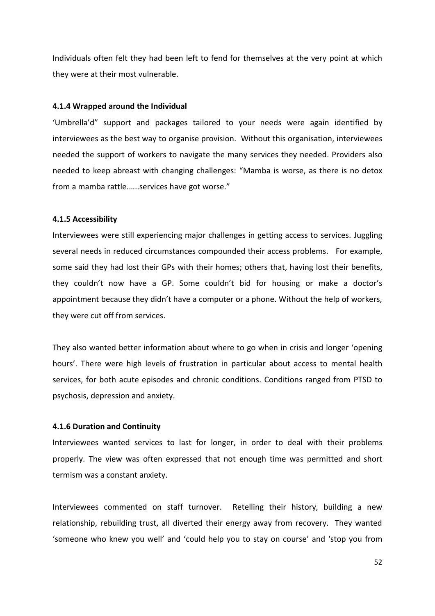Individuals often felt they had been left to fend for themselves at the very point at which they were at their most vulnerable.

#### **4.1.4 Wrapped around the Individual**

'Umbrella'd" support and packages tailored to your needs were again identified by interviewees as the best way to organise provision. Without this organisation, interviewees needed the support of workers to navigate the many services they needed. Providers also needed to keep abreast with changing challenges: "Mamba is worse, as there is no detox from a mamba rattle.…..services have got worse."

#### **4.1.5 Accessibility**

Interviewees were still experiencing major challenges in getting access to services. Juggling several needs in reduced circumstances compounded their access problems. For example, some said they had lost their GPs with their homes; others that, having lost their benefits, they couldn't now have a GP. Some couldn't bid for housing or make a doctor's appointment because they didn't have a computer or a phone. Without the help of workers, they were cut off from services.

They also wanted better information about where to go when in crisis and longer 'opening hours'. There were high levels of frustration in particular about access to mental health services, for both acute episodes and chronic conditions. Conditions ranged from PTSD to psychosis, depression and anxiety.

#### **4.1.6 Duration and Continuity**

Interviewees wanted services to last for longer, in order to deal with their problems properly. The view was often expressed that not enough time was permitted and short termism was a constant anxiety.

Interviewees commented on staff turnover. Retelling their history, building a new relationship, rebuilding trust, all diverted their energy away from recovery. They wanted 'someone who knew you well' and 'could help you to stay on course' and 'stop you from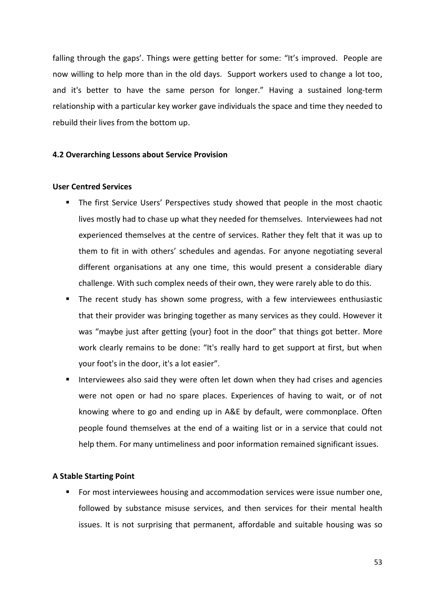falling through the gaps'. Things were getting better for some: "It's improved. People are now willing to help more than in the old days. Support workers used to change a lot too, and it's better to have the same person for longer." Having a sustained long-term relationship with a particular key worker gave individuals the space and time they needed to rebuild their lives from the bottom up.

#### **4.2 Overarching Lessons about Service Provision**

#### **User Centred Services**

- The first Service Users' Perspectives study showed that people in the most chaotic lives mostly had to chase up what they needed for themselves. Interviewees had not experienced themselves at the centre of services. Rather they felt that it was up to them to fit in with others' schedules and agendas. For anyone negotiating several different organisations at any one time, this would present a considerable diary challenge. With such complex needs of their own, they were rarely able to do this.
- The recent study has shown some progress, with a few interviewees enthusiastic that their provider was bringing together as many services as they could. However it was "maybe just after getting {your} foot in the door" that things got better. More work clearly remains to be done: "It's really hard to get support at first, but when your foot's in the door, it's a lot easier".
- Interviewees also said they were often let down when they had crises and agencies were not open or had no spare places. Experiences of having to wait, or of not knowing where to go and ending up in A&E by default, were commonplace. Often people found themselves at the end of a waiting list or in a service that could not help them. For many untimeliness and poor information remained significant issues.

#### **A Stable Starting Point**

**Formost interviewees housing and accommodation services were issue number one,** followed by substance misuse services, and then services for their mental health issues. It is not surprising that permanent, affordable and suitable housing was so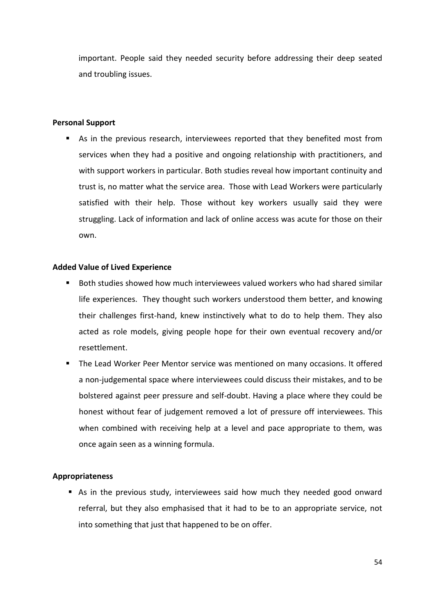important. People said they needed security before addressing their deep seated and troubling issues.

## **Personal Support**

 As in the previous research, interviewees reported that they benefited most from services when they had a positive and ongoing relationship with practitioners, and with support workers in particular. Both studies reveal how important continuity and trust is, no matter what the service area. Those with Lead Workers were particularly satisfied with their help. Those without key workers usually said they were struggling. Lack of information and lack of online access was acute for those on their own.

## **Added Value of Lived Experience**

- Both studies showed how much interviewees valued workers who had shared similar life experiences. They thought such workers understood them better, and knowing their challenges first-hand, knew instinctively what to do to help them. They also acted as role models, giving people hope for their own eventual recovery and/or resettlement.
- The Lead Worker Peer Mentor service was mentioned on many occasions. It offered a non-judgemental space where interviewees could discuss their mistakes, and to be bolstered against peer pressure and self-doubt. Having a place where they could be honest without fear of judgement removed a lot of pressure off interviewees. This when combined with receiving help at a level and pace appropriate to them, was once again seen as a winning formula.

## **Appropriateness**

 As in the previous study, interviewees said how much they needed good onward referral, but they also emphasised that it had to be to an appropriate service, not into something that just that happened to be on offer.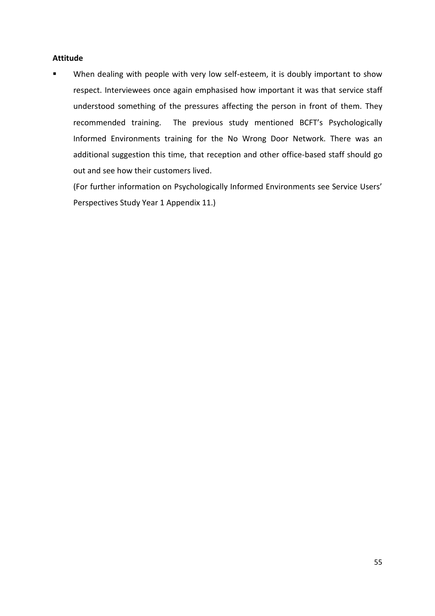## **Attitude**

 When dealing with people with very low self-esteem, it is doubly important to show respect. Interviewees once again emphasised how important it was that service staff understood something of the pressures affecting the person in front of them. They recommended training. The previous study mentioned BCFT's Psychologically Informed Environments training for the No Wrong Door Network. There was an additional suggestion this time, that reception and other office-based staff should go out and see how their customers lived.

(For further information on Psychologically Informed Environments see Service Users' Perspectives Study Year 1 Appendix 11.)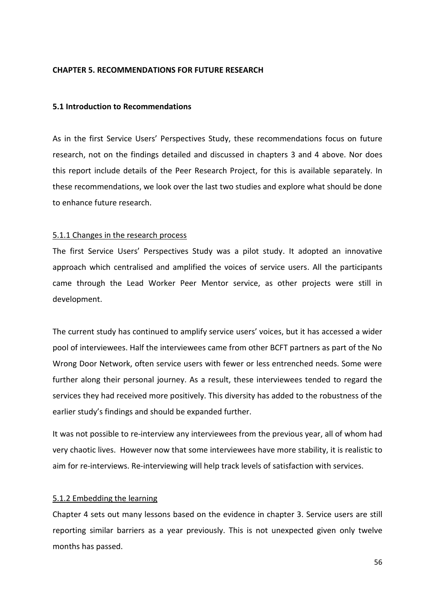#### **CHAPTER 5. RECOMMENDATIONS FOR FUTURE RESEARCH**

#### **5.1 Introduction to Recommendations**

As in the first Service Users' Perspectives Study, these recommendations focus on future research, not on the findings detailed and discussed in chapters 3 and 4 above. Nor does this report include details of the Peer Research Project, for this is available separately. In these recommendations, we look over the last two studies and explore what should be done to enhance future research.

## 5.1.1 Changes in the research process

The first Service Users' Perspectives Study was a pilot study. It adopted an innovative approach which centralised and amplified the voices of service users. All the participants came through the Lead Worker Peer Mentor service, as other projects were still in development.

The current study has continued to amplify service users' voices, but it has accessed a wider pool of interviewees. Half the interviewees came from other BCFT partners as part of the No Wrong Door Network, often service users with fewer or less entrenched needs. Some were further along their personal journey. As a result, these interviewees tended to regard the services they had received more positively. This diversity has added to the robustness of the earlier study's findings and should be expanded further.

It was not possible to re-interview any interviewees from the previous year, all of whom had very chaotic lives. However now that some interviewees have more stability, it is realistic to aim for re-interviews. Re-interviewing will help track levels of satisfaction with services.

#### 5.1.2 Embedding the learning

Chapter 4 sets out many lessons based on the evidence in chapter 3. Service users are still reporting similar barriers as a year previously. This is not unexpected given only twelve months has passed.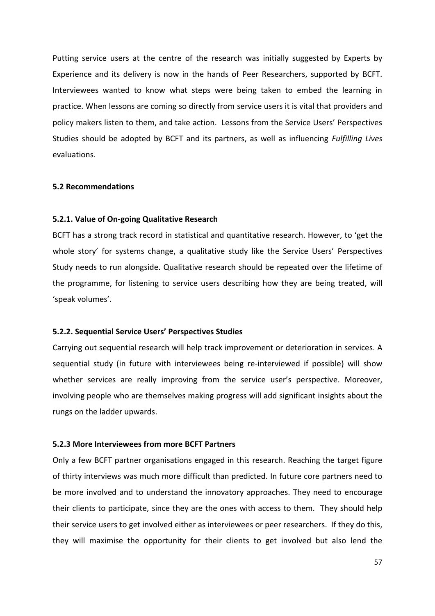Putting service users at the centre of the research was initially suggested by Experts by Experience and its delivery is now in the hands of Peer Researchers, supported by BCFT. Interviewees wanted to know what steps were being taken to embed the learning in practice. When lessons are coming so directly from service users it is vital that providers and policy makers listen to them, and take action. Lessons from the Service Users' Perspectives Studies should be adopted by BCFT and its partners, as well as influencing *Fulfilling Lives*  evaluations.

#### **5.2 Recommendations**

#### **5.2.1. Value of On-going Qualitative Research**

BCFT has a strong track record in statistical and quantitative research. However, to 'get the whole story' for systems change, a qualitative study like the Service Users' Perspectives Study needs to run alongside. Qualitative research should be repeated over the lifetime of the programme, for listening to service users describing how they are being treated, will 'speak volumes'.

#### **5.2.2. Sequential Service Users' Perspectives Studies**

Carrying out sequential research will help track improvement or deterioration in services. A sequential study (in future with interviewees being re-interviewed if possible) will show whether services are really improving from the service user's perspective. Moreover, involving people who are themselves making progress will add significant insights about the rungs on the ladder upwards.

## **5.2.3 More Interviewees from more BCFT Partners**

Only a few BCFT partner organisations engaged in this research. Reaching the target figure of thirty interviews was much more difficult than predicted. In future core partners need to be more involved and to understand the innovatory approaches. They need to encourage their clients to participate, since they are the ones with access to them. They should help their service users to get involved either as interviewees or peer researchers. If they do this, they will maximise the opportunity for their clients to get involved but also lend the